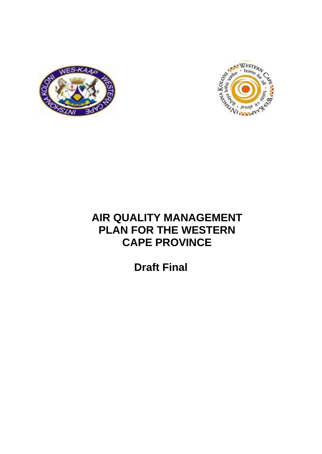



# **AIR QUALITY MANAGEMENT PLAN FOR THE WESTERN CAPE PROVINCE**

**Draft Final**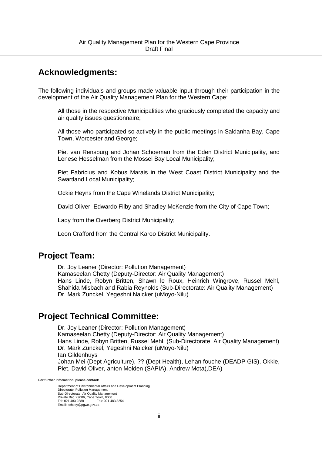# **Acknowledgments:**

The following individuals and groups made valuable input through their participation in the development of the Air Quality Management Plan for the Western Cape:

All those in the respective Municipalities who graciously completed the capacity and air quality issues questionnaire;

All those who participated so actively in the public meetings in Saldanha Bay, Cape Town, Worcester and George;

Piet van Rensburg and Johan Schoeman from the Eden District Municipality, and Lenese Hesselman from the Mossel Bay Local Municipality;

Piet Fabricius and Kobus Marais in the West Coast District Municipality and the Swartland Local Municipality;

Ockie Heyns from the Cape Winelands District Municipality;

David Oliver, Edwardo Filby and Shadley McKenzie from the City of Cape Town;

Lady from the Overberg District Municipality;

Leon Crafford from the Central Karoo District Municipality.

# **Project Team:**

Dr. Joy Leaner (Director: Pollution Management) Kamaseelan Chetty (Deputy-Director: Air Quality Management) Hans Linde, Robyn Britten, Shawn le Roux, Heinrich Wingrove, Russel Mehl, Shahida Misbach and Rabia Reynolds (Sub-Directorate: Air Quality Management) Dr. Mark Zunckel, Yegeshni Naicker (uMoyo-Nilu)

# **Project Technical Committee:**

Dr. Joy Leaner (Director: Pollution Management) Kamaseelan Chetty (Deputy-Director: Air Quality Management) Hans Linde, Robyn Britten, Russel Mehl, (Sub-Directorate: Air Quality Management) Dr. Mark Zunckel, Yegeshni Naicker (uMoyo-Nilu) Ian Gildenhuys Johan Mei (Dept Agriculture), ?? (Dept Health), Lehan fouche (DEADP GIS), Okkie, Piet, David Oliver, anton Molden (SAPIA), Andrew Mota(,DEA)

Department of Environmental Affairs and Development Planning Directorate: Pollution Management Sub-Directorate: Air Quality Management Private Bag X9086, Cape Town, 8000 Tel: 021 483 2888 Fax: 021 483 3254 Email: kchetty@pgwc.gov.za

**For further information, please contact:**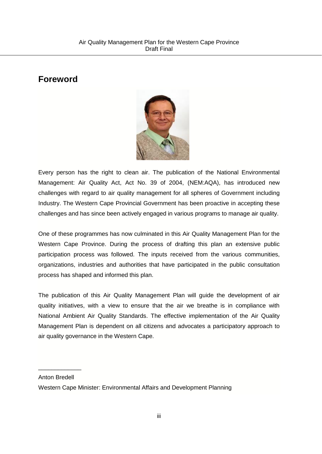# **Foreword**



Every person has the right to clean air. The publication of the National Environmental Management: Air Quality Act, Act No. 39 of 2004, (NEM:AQA), has introduced new challenges with regard to air quality management for all spheres of Government including Industry. The Western Cape Provincial Government has been proactive in accepting these challenges and has since been actively engaged in various programs to manage air quality.

One of these programmes has now culminated in this Air Quality Management Plan for the Western Cape Province. During the process of drafting this plan an extensive public participation process was followed. The inputs received from the various communities, organizations, industries and authorities that have participated in the public consultation process has shaped and informed this plan.

The publication of this Air Quality Management Plan will guide the development of air quality initiatives, with a view to ensure that the air we breathe is in compliance with National Ambient Air Quality Standards. The effective implementation of the Air Quality Management Plan is dependent on all citizens and advocates a participatory approach to air quality governance in the Western Cape.

Anton Bredell

\_\_\_\_\_\_\_\_\_\_\_\_\_

Western Cape Minister: Environmental Affairs and Development Planning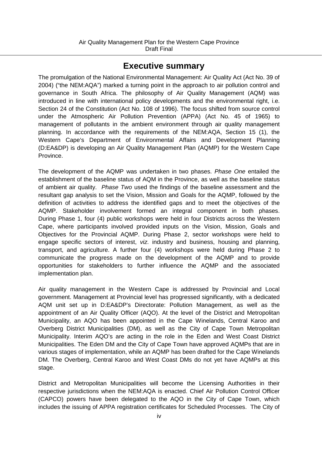# **Executive summary**

The promulgation of the National Environmental Management: Air Quality Act (Act No. 39 of 2004) ("the NEM:AQA") marked a turning point in the approach to air pollution control and governance in South Africa. The philosophy of Air Quality Management (AQM) was introduced in line with international policy developments and the environmental right, i.e. Section 24 of the Constitution (Act No. 108 of 1996). The focus shifted from source control under the Atmospheric Air Pollution Prevention (APPA) (Act No. 45 of 1965) to management of pollutants in the ambient environment through air quality management planning. In accordance with the requirements of the NEM:AQA, Section 15 (1), the Western Cape's Department of Environmental Affairs and Development Planning (D:EA&DP) is developing an Air Quality Management Plan (AQMP) for the Western Cape Province.

The development of the AQMP was undertaken in two phases. *Phase One* entailed the establishment of the baseline status of AQM in the Province, as well as the baseline status of ambient air quality. *Phase Two* used the findings of the baseline assessment and the resultant gap analysis to set the Vision, Mission and Goals for the AQMP, followed by the definition of activities to address the identified gaps and to meet the objectives of the AQMP. Stakeholder involvement formed an integral component in both phases. During Phase 1, four (4) public workshops were held in four Districts across the Western Cape, where participants involved provided inputs on the Vision, Mission, Goals and Objectives for the Provincial AQMP. During Phase 2, sector workshops were held to engage specific sectors of interest, *viz*. industry and business, housing and planning, transport, and agriculture. A further four (4) workshops were held during Phase 2 to communicate the progress made on the development of the AQMP and to provide opportunities for stakeholders to further influence the AQMP and the associated implementation plan.

Air quality management in the Western Cape is addressed by Provincial and Local government. Management at Provincial level has progressed significantly, with a dedicated AQM unit set up in D:EA&DP's Directorate: Pollution Management, as well as the appointment of an Air Quality Officer (AQO). At the level of the District and Metropolitan Municipality, an AQO has been appointed in the Cape Winelands, Central Karoo and Overberg District Municipalities (DM), as well as the City of Cape Town Metropolitan Municipality. Interim AQO's are acting in the role in the Eden and West Coast District Municipalities. The Eden DM and the City of Cape Town have approved AQMPs that are in various stages of implementation, while an AQMP has been drafted for the Cape Winelands DM. The Overberg, Central Karoo and West Coast DMs do not yet have AQMPs at this stage.

District and Metropolitan Municipalities will become the Licensing Authorities in their respective jurisdictions when the NEM:AQA is enacted. Chief Air Pollution Control Officer (CAPCO) powers have been delegated to the AQO in the City of Cape Town, which includes the issuing of APPA registration certificates for Scheduled Processes. The City of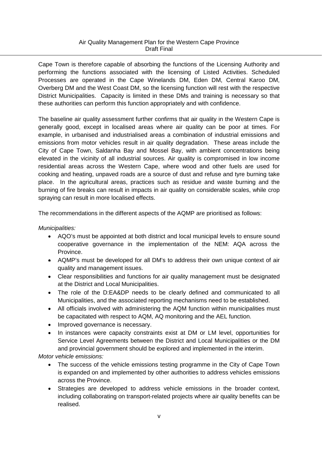Cape Town is therefore capable of absorbing the functions of the Licensing Authority and performing the functions associated with the licensing of Listed Activities. Scheduled Processes are operated in the Cape Winelands DM, Eden DM, Central Karoo DM, Overberg DM and the West Coast DM, so the licensing function will rest with the respective District Municipalities. Capacity is limited in these DMs and training is necessary so that these authorities can perform this function appropriately and with confidence.

The baseline air quality assessment further confirms that air quality in the Western Cape is generally good, except in localised areas where air quality can be poor at times. For example, in urbanised and industrialised areas a combination of industrial emissions and emissions from motor vehicles result in air quality degradation. These areas include the City of Cape Town, Saldanha Bay and Mossel Bay, with ambient concentrations being elevated in the vicinity of all industrial sources. Air quality is compromised in low income residential areas across the Western Cape, where wood and other fuels are used for cooking and heating, unpaved roads are a source of dust and refuse and tyre burning take place. In the agricultural areas, practices such as residue and waste burning and the burning of fire breaks can result in impacts in air quality on considerable scales, while crop spraying can result in more localised effects.

The recommendations in the different aspects of the AQMP are prioritised as follows:

*Municipalities:*

- AQO's must be appointed at both district and local municipal levels to ensure sound cooperative governance in the implementation of the NEM: AQA across the Province.
- AQMP's must be developed for all DM's to address their own unique context of air quality and management issues.
- Clear responsibilities and functions for air quality management must be designated at the District and Local Municipalities.
- The role of the D:EA&DP needs to be clearly defined and communicated to all Municipalities, and the associated reporting mechanisms need to be established.
- All officials involved with administering the AQM function within municipalities must be capacitated with respect to AQM, AQ monitoring and the AEL function.
- Improved governance is necessary.
- In instances were capacity constraints exist at DM or LM level, opportunities for Service Level Agreements between the District and Local Municipalities or the DM and provincial government should be explored and implemented in the interim.

*Motor vehicle emissions:*

- The success of the vehicle emissions testing programme in the City of Cape Town is expanded on and implemented by other authorities to address vehicles emissions across the Province.
- Strategies are developed to address vehicle emissions in the broader context, including collaborating on transport-related projects where air quality benefits can be realised.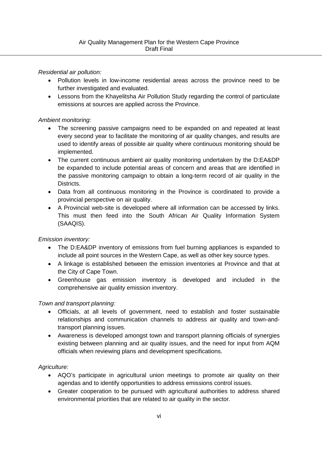*Residential air pollution:*

- Pollution levels in low-income residential areas across the province need to be further investigated and evaluated.
- Lessons from the Khayelitsha Air Pollution Study regarding the control of particulate emissions at sources are applied across the Province.

#### *Ambient monitoring:*

- The screening passive campaigns need to be expanded on and repeated at least every second year to facilitate the monitoring of air quality changes, and results are used to identify areas of possible air quality where continuous monitoring should be implemented.
- The current continuous ambient air quality monitoring undertaken by the D:EA&DP be expanded to include potential areas of concern and areas that are identified in the passive monitoring campaign to obtain a long-term record of air quality in the Districts.
- Data from all continuous monitoring in the Province is coordinated to provide a provincial perspective on air quality.
- A Provincial web-site is developed where all information can be accessed by links. This must then feed into the South African Air Quality Information System (SAAQIS).

#### *Emission inventory:*

- The D:EA&DP inventory of emissions from fuel burning appliances is expanded to include all point sources in the Western Cape, as well as other key source types.
- A linkage is established between the emission inventories at Province and that at the City of Cape Town.
- Greenhouse gas emission inventory is developed and included in the comprehensive air quality emission inventory.

#### *Town and transport planning:*

- Officials, at all levels of government, need to establish and foster sustainable relationships and communication channels to address air quality and town-andtransport planning issues.
- Awareness is developed amongst town and transport planning officials of synergies existing between planning and air quality issues, and the need for input from AQM officials when reviewing plans and development specifications.

#### *Agriculture:*

- AQO's participate in agricultural union meetings to promote air quality on their agendas and to identify opportunities to address emissions control issues.
- Greater cooperation to be pursued with agricultural authorities to address shared environmental priorities that are related to air quality in the sector.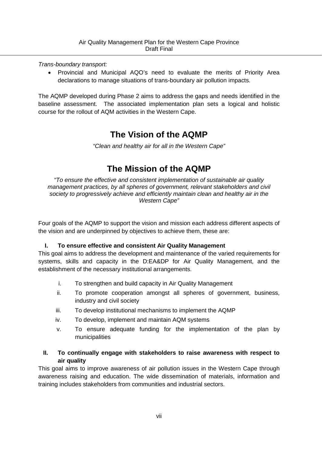*Trans-boundary transport:*

 Provincial and Municipal AQO's need to evaluate the merits of Priority Area declarations to manage situations of trans-boundary air pollution impacts.

The AQMP developed during Phase 2 aims to address the gaps and needs identified in the baseline assessment. The associated implementation plan sets a logical and holistic course for the rollout of AQM activities in the Western Cape.

# **The Vision of the AQMP**

*"Clean and healthy air for all in the Western Cape"*

# **The Mission of the AQMP**

*"To ensure the effective and consistent implementation of sustainable air quality management practices, by all spheres of government, relevant stakeholders and civil society to progressively achieve and efficiently maintain clean and healthy air in the Western Cape"*

Four goals of the AQMP to support the vision and mission each address different aspects of the vision and are underpinned by objectives to achieve them, these are:

#### **I. To ensure effective and consistent Air Quality Management**

This goal aims to address the development and maintenance of the varied requirements for systems, skills and capacity in the D:EA&DP for Air Quality Management, and the establishment of the necessary institutional arrangements.

- i. To strengthen and build capacity in Air Quality Management
- ii. To promote cooperation amongst all spheres of government, business, industry and civil society
- iii. To develop institutional mechanisms to implement the AQMP
- iv. To develop, implement and maintain AQM systems
- v. To ensure adequate funding for the implementation of the plan by municipalities

#### **II. To continually engage with stakeholders to raise awareness with respect to air quality**

This goal aims to improve awareness of air pollution issues in the Western Cape through awareness raising and education. The wide dissemination of materials, information and training includes stakeholders from communities and industrial sectors.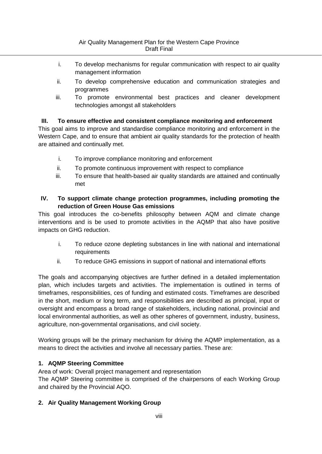- i. To develop mechanisms for regular communication with respect to air quality management information
- ii. To develop comprehensive education and communication strategies and programmes
- iii. To promote environmental best practices and cleaner development technologies amongst all stakeholders

### **III. To ensure effective and consistent compliance monitoring and enforcement**

This goal aims to improve and standardise compliance monitoring and enforcement in the Western Cape, and to ensure that ambient air quality standards for the protection of health are attained and continually met.

- i. To improve compliance monitoring and enforcement
- ii. To promote continuous improvement with respect to compliance
- iii. To ensure that health-based air quality standards are attained and continually met

### **IV. To support climate change protection programmes, including promoting the reduction of Green House Gas emissions**

This goal introduces the co-benefits philosophy between AQM and climate change interventions and is be used to promote activities in the AQMP that also have positive impacts on GHG reduction.

- i. To reduce ozone depleting substances in line with national and international requirements
- ii. To reduce GHG emissions in support of national and international efforts

The goals and accompanying objectives are further defined in a detailed implementation plan, which includes targets and activities. The implementation is outlined in terms of timeframes, responsibilities, ces of funding and estimated costs. Timeframes are described in the short, medium or long term, and responsibilities are described as principal, input or oversight and encompass a broad range of stakeholders, including national, provincial and local environmental authorities, as well as other spheres of government, industry, business, agriculture, non-governmental organisations, and civil society.

Working groups will be the primary mechanism for driving the AQMP implementation, as a means to direct the activities and involve all necessary parties. These are:

### **1. AQMP Steering Committee**

Area of work: Overall project management and representation The AQMP Steering committee is comprised of the chairpersons of each Working Group and chaired by the Provincial AQO.

#### **2. Air Quality Management Working Group**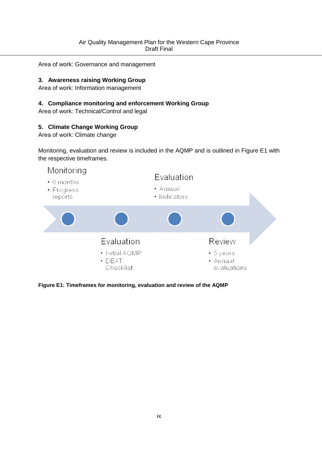Area of work: Governance and management

#### **3. Awareness raising Working Group**

Area of work: Information management

#### **4. Compliance monitoring and enforcement Working Group**

Area of work: Technical/Control and legal

#### **5. Climate Change Working Group**

Area of work: Climate change

Monitoring, evaluation and review is included in the AQMP and is outlined in Figure E1 with the respective timeframes.



**Figure E1: Timeframes for monitoring, evaluation and review of the AQMP**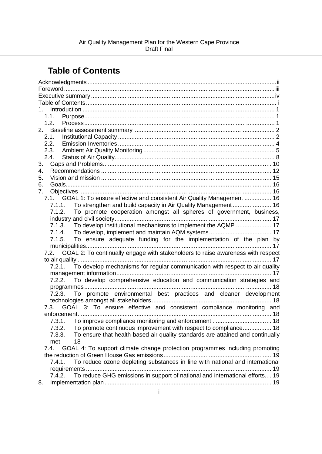# **Table of Contents**

| 1.1.   |                                                                                      |  |
|--------|--------------------------------------------------------------------------------------|--|
| 1.2.   |                                                                                      |  |
|        |                                                                                      |  |
| 2.1.   |                                                                                      |  |
| 2.2.   |                                                                                      |  |
| 2.3.   |                                                                                      |  |
| 2.4.   |                                                                                      |  |
| 3.     |                                                                                      |  |
| 4.     |                                                                                      |  |
| 5.     |                                                                                      |  |
| 6.     |                                                                                      |  |
| 7.     |                                                                                      |  |
|        | 7.1. GOAL 1: To ensure effective and consistent Air Quality Management  16           |  |
| 7.1.1. | To strengthen and build capacity in Air Quality Management 16                        |  |
| 7.1.2. | To promote cooperation amongst all spheres of government, business,                  |  |
|        |                                                                                      |  |
|        | 7.1.3. To develop institutional mechanisms to implement the AQMP  17                 |  |
|        |                                                                                      |  |
|        | 7.1.5. To ensure adequate funding for the implementation of the plan by              |  |
|        |                                                                                      |  |
|        | 7.2. GOAL 2: To continually engage with stakeholders to raise awareness with respect |  |
|        |                                                                                      |  |
|        | 7.2.1. To develop mechanisms for regular communication with respect to air quality   |  |
|        |                                                                                      |  |
|        | 7.2.2. To develop comprehensive education and communication strategies and           |  |
|        |                                                                                      |  |
|        | 7.2.3. To promote environmental best practices and cleaner development               |  |
|        |                                                                                      |  |
|        | 7.3. GOAL 3: To ensure effective and consistent compliance monitoring and            |  |
|        |                                                                                      |  |
|        |                                                                                      |  |
| 7.3.2. | To promote continuous improvement with respect to compliance 18                      |  |
| 7.3.3. | To ensure that health-based air quality standards are attained and continually       |  |
| met    | 18                                                                                   |  |
| 7.4.   | GOAL 4: To support climate change protection programmes including promoting          |  |
|        |                                                                                      |  |
| 7.4.1. | To reduce ozone depleting substances in line with national and international         |  |
|        |                                                                                      |  |
| 7.4.2. | To reduce GHG emissions in support of national and international efforts 19          |  |
| 8.     |                                                                                      |  |
|        |                                                                                      |  |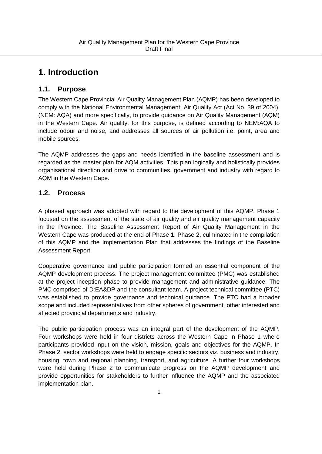# **1. Introduction**

### **1.1. Purpose**

The Western Cape Provincial Air Quality Management Plan (AQMP) has been developed to comply with the National Environmental Management: Air Quality Act (Act No. 39 of 2004), (NEM: AQA) and more specifically, to provide guidance on Air Quality Management (AQM) in the Western Cape. Air quality, for this purpose, is defined according to NEM:AQA to include odour and noise, and addresses all sources of air pollution i.e. point, area and mobile sources.

The AQMP addresses the gaps and needs identified in the baseline assessment and is regarded as the master plan for AQM activities. This plan logically and holistically provides organisational direction and drive to communities, government and industry with regard to AQM in the Western Cape.

# **1.2. Process**

A phased approach was adopted with regard to the development of this AQMP. Phase 1 focused on the assessment of the state of air quality and air quality management capacity in the Province. The Baseline Assessment Report of Air Quality Management in the Western Cape was produced at the end of Phase 1. Phase 2, culminated in the compilation of this AQMP and the Implementation Plan that addresses the findings of the Baseline Assessment Report.

Cooperative governance and public participation formed an essential component of the AQMP development process. The project management committee (PMC) was established at the project inception phase to provide management and administrative guidance. The PMC comprised of D:EA&DP and the consultant team. A project technical committee (PTC) was established to provide governance and technical guidance. The PTC had a broader scope and included representatives from other spheres of government, other interested and affected provincial departments and industry.

The public participation process was an integral part of the development of the AQMP. Four workshops were held in four districts across the Western Cape in Phase 1 where participants provided input on the vision, mission, goals and objectives for the AQMP. In Phase 2, sector workshops were held to engage specific sectors viz. business and industry, housing, town and regional planning, transport, and agriculture. A further four workshops were held during Phase 2 to communicate progress on the AQMP development and provide opportunities for stakeholders to further influence the AQMP and the associated implementation plan.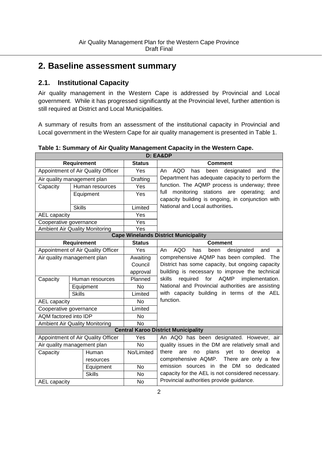# **2. Baseline assessment summary**

# **2.1. Institutional Capacity**

Air quality management in the Western Cape is addressed by Provincial and Local government. While it has progressed significantly at the Provincial level, further attention is still required at District and Local Municipalities.

A summary of results from an assessment of the institutional capacity in Provincial and Local government in the Western Cape for air quality management is presented in Table 1.

|                                    | D: EA&DP                              |               |                                                                                                              |  |  |
|------------------------------------|---------------------------------------|---------------|--------------------------------------------------------------------------------------------------------------|--|--|
| Requirement                        |                                       | <b>Status</b> | <b>Comment</b>                                                                                               |  |  |
| Appointment of Air Quality Officer |                                       | Yes           | <b>AQO</b><br>the<br>designated<br>and<br>An<br>has<br>been                                                  |  |  |
| Air quality management plan        |                                       | Drafting      | Department has adequate capacity to perform the                                                              |  |  |
| Capacity                           | Human resources                       | Yes           | function. The AQMP process is underway; three                                                                |  |  |
|                                    | Equipment                             | Yes           | monitoring<br>stations are<br>operating;<br>full<br>and<br>capacity building is ongoing, in conjunction with |  |  |
|                                    | <b>Skills</b>                         | Limited       | National and Local authorities.                                                                              |  |  |
| <b>AEL</b> capacity                |                                       | Yes           |                                                                                                              |  |  |
| Cooperative governance             |                                       | Yes           |                                                                                                              |  |  |
|                                    | <b>Ambient Air Quality Monitoring</b> | Yes           |                                                                                                              |  |  |
|                                    |                                       |               | <b>Cape Winelands District Municipality</b>                                                                  |  |  |
|                                    | Requirement                           | <b>Status</b> | <b>Comment</b>                                                                                               |  |  |
|                                    | Appointment of Air Quality Officer    | Yes           | <b>AQO</b><br>An<br>designated<br>has<br>been<br>and<br>a                                                    |  |  |
|                                    | Air quality management plan           | Awaiting      | comprehensive AQMP has been compiled. The                                                                    |  |  |
|                                    |                                       | Council       | District has some capacity, but ongoing capacity                                                             |  |  |
|                                    |                                       | approval      | building is necessary to improve the technical                                                               |  |  |
| Capacity                           | Human resources                       | Planned       | skills<br><b>AQMP</b><br>required<br>for<br>implementation.                                                  |  |  |
|                                    | Equipment                             | <b>No</b>     | National and Provincial authorities are assisting                                                            |  |  |
| <b>Skills</b>                      |                                       | Limited       | with capacity building in terms of the AEL                                                                   |  |  |
| AEL capacity                       |                                       | <b>No</b>     | function.                                                                                                    |  |  |
| Cooperative governance             |                                       | Limited       |                                                                                                              |  |  |
| AQM factored into IDP              |                                       | No            |                                                                                                              |  |  |
|                                    | <b>Ambient Air Quality Monitoring</b> | <b>No</b>     |                                                                                                              |  |  |
|                                    |                                       |               | <b>Central Karoo District Municipality</b>                                                                   |  |  |
|                                    | Appointment of Air Quality Officer    | Yes           | An AQO has been designated. However, air                                                                     |  |  |
|                                    | Air quality management plan           | <b>No</b>     | quality issues in the DM are relatively small and                                                            |  |  |
| Capacity                           | Human                                 | No/Limited    | yet<br>to<br>there<br>are<br>plans<br>develop<br>no<br>- a                                                   |  |  |
|                                    | resources                             |               | comprehensive AQMP. There are only a few                                                                     |  |  |
| Equipment                          |                                       | <b>No</b>     | emission sources in the DM so dedicated                                                                      |  |  |
| <b>Skills</b>                      |                                       | No            | capacity for the AEL is not considered necessary.                                                            |  |  |
| <b>AEL</b> capacity                |                                       | No            | Provincial authorities provide guidance.                                                                     |  |  |

**Table 1: Summary of Air Quality Management Capacity in the Western Cape.**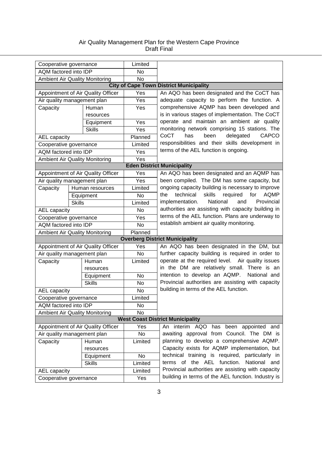| Cooperative governance                |               |                                    | Limited        |                                                              |
|---------------------------------------|---------------|------------------------------------|----------------|--------------------------------------------------------------|
| AQM factored into IDP                 |               | No                                 |                |                                                              |
| <b>Ambient Air Quality Monitoring</b> |               |                                    | $\overline{N}$ |                                                              |
|                                       |               |                                    |                | <b>City of Cape Town District Municipality</b>               |
|                                       |               | Appointment of Air Quality Officer | Yes            | An AQO has been designated and the CoCT has                  |
| Air quality management plan           |               |                                    | Yes            | adequate capacity to perform the function. A                 |
| Capacity                              |               | Human                              | Yes            | comprehensive AQMP has been developed and                    |
|                                       |               | resources                          |                | is in various stages of implementation. The CoCT             |
|                                       |               | Equipment                          | Yes            | operate and maintain an ambient air quality                  |
|                                       |               | <b>Skills</b>                      | Yes            | monitoring network comprising 15 stations. The               |
| AEL capacity                          |               |                                    | Planned        | CAPCO<br>CoCT<br>has<br>delegated<br>been                    |
| Cooperative governance                |               |                                    | Limited        | responsibilities and their skills development in             |
| <b>AQM</b> factored into IDP          |               |                                    | Yes            | terms of the AEL function is ongoing.                        |
| <b>Ambient Air Quality Monitoring</b> |               |                                    | Yes            |                                                              |
|                                       |               |                                    |                | <b>Eden District Municipality</b>                            |
|                                       |               | Appointment of Air Quality Officer | Yes            | An AQO has been designated and an AQMP has                   |
| Air quality management plan           |               |                                    | Yes            | been compiled. The DM has some capacity, but                 |
| Capacity                              |               | Human resources                    | Limited        | ongoing capacity building is necessary to improve            |
|                                       |               | Equipment                          | <b>No</b>      | skills<br>technical<br>required<br>for<br><b>AQMP</b><br>the |
|                                       | <b>Skills</b> |                                    | Limited        | implementation.<br>National<br>Provincial<br>and             |
| AEL capacity                          |               |                                    | No             | authorities are assisting with capacity building in          |
| Cooperative governance                |               |                                    | Yes            | terms of the AEL function. Plans are underway to             |
| AQM factored into IDP                 |               |                                    | <b>No</b>      | establish ambient air quality monitoring.                    |
| <b>Ambient Air Quality Monitoring</b> |               |                                    | Planned        |                                                              |
|                                       |               |                                    |                | <b>Overberg District Municipality</b>                        |
|                                       |               | Appointment of Air Quality Officer | Yes            | An AQO has been designated in the DM, but                    |
| Air quality management plan           |               |                                    | <b>No</b>      | further capacity building is required in order to            |
| Capacity                              |               | Human                              | Limited        | operate at the required level. Air quality issues            |
|                                       |               | resources                          |                | in the DM are relatively small. There is an                  |
|                                       |               | Equipment                          | <b>No</b>      | intention to develop an AQMP.<br>National and                |
|                                       |               | <b>Skills</b>                      | No             | Provincial authorities are assisting with capacity           |
| AEL capacity                          |               |                                    | No             | building in terms of the AEL function.                       |
| Cooperative governance                |               |                                    | Limited        |                                                              |
| AQM factored into IDP                 |               |                                    | No             |                                                              |
| <b>Ambient Air Quality Monitoring</b> |               |                                    | No             |                                                              |
|                                       |               |                                    |                | <b>West Coast District Municipality</b>                      |
|                                       |               | Appointment of Air Quality Officer | Yes            | An interim AQO has been appointed and                        |
| Air quality management plan           |               |                                    | No             | awaiting approval from Council. The DM is                    |
| Capacity                              |               | Human                              | Limited        | planning to develop a comprehensive AQMP.                    |
|                                       |               | resources                          |                | Capacity exists for AQMP implementation, but                 |
|                                       |               | Equipment                          | <b>No</b>      | technical training is required, particularly in              |
|                                       |               | <b>Skills</b>                      | Limited        | terms of the AEL function.<br>National and                   |
| AEL capacity                          |               |                                    | Limited        | Provincial authorities are assisting with capacity           |
| Cooperative governance                |               |                                    | Yes            | building in terms of the AEL function. Industry is           |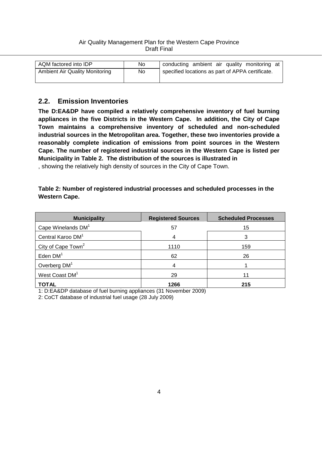| AQM factored into IDP                 | No | conducting ambient air quality monitoring at     |
|---------------------------------------|----|--------------------------------------------------|
| <b>Ambient Air Quality Monitoring</b> | No | specified locations as part of APPA certificate. |

### **2.2. Emission Inventories**

**The D:EA&DP have compiled a relatively comprehensive inventory of fuel burning appliances in the five Districts in the Western Cape. In addition, the City of Cape Town maintains a comprehensive inventory of scheduled and non-scheduled industrial sources in the Metropolitan area. Together, these two inventories provide a reasonably complete indication of emissions from point sources in the Western Cape. The number of registered industrial sources in the Western Cape is listed per Municipality in Table 2. The distribution of the sources is illustrated in**

, showing the relatively high density of sources in the City of Cape Town.

#### **Table 2: Number of registered industrial processes and scheduled processes in the Western Cape.**

| <b>Municipality</b>            | <b>Registered Sources</b> | <b>Scheduled Processes</b> |
|--------------------------------|---------------------------|----------------------------|
| Cape Winelands DM <sup>1</sup> | 57                        | 15                         |
| Central Karoo DM <sup>1</sup>  |                           |                            |
| City of Cape Town <sup>2</sup> | 1110                      | 159                        |
| Eden $DM1$                     | 62                        | 26                         |
| Overberg DM <sup>1</sup>       |                           |                            |
| West Coast DM <sup>1</sup>     | 29                        |                            |
| <b>TOTAL</b>                   | 1266                      | 215                        |

1: D:EA&DP database of fuel burning appliances (31 November 2009)

2: CoCT database of industrial fuel usage (28 July 2009)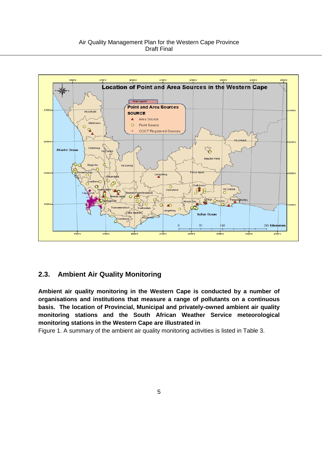

### **2.3. Ambient Air Quality Monitoring**

**Ambient air quality monitoring in the Western Cape is conducted by a number of organisations and institutions that measure a range of pollutants on a continuous basis. The location of Provincial, Municipal and privately-owned ambient air quality monitoring stations and the South African Weather Service meteorological monitoring stations in the Western Cape are illustrated in**

Figure 1. A summary of the ambient air quality monitoring activities is listed in Table 3.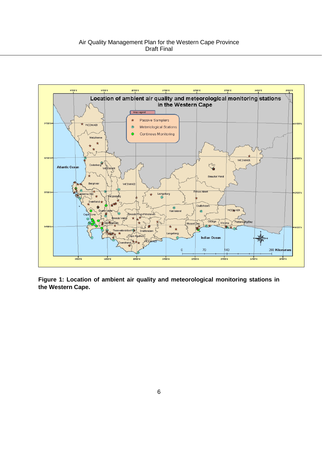

**Figure 1: Location of ambient air quality and meteorological monitoring stations in the Western Cape.**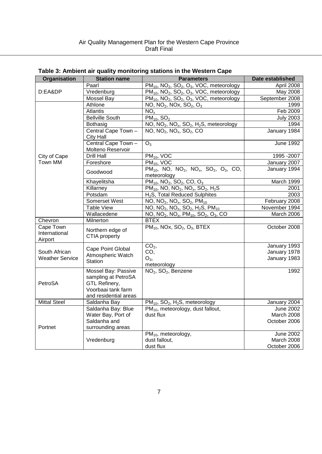| Organisation           | <b>Station name</b>    | <b>Parameters</b>                                                                                                                       | Date established             |
|------------------------|------------------------|-----------------------------------------------------------------------------------------------------------------------------------------|------------------------------|
|                        | Paarl                  | $PM_{10}$ , NO <sub>2</sub> , SO <sub>2</sub> , O <sub>3</sub> , VOC, meteorology                                                       | April 2008                   |
| D:EA&DP                | Vredenburg             | $PM_{10}$ , NO <sub>2</sub> , SO <sub>2</sub> , O <sub>3</sub> , VOC, meteorology                                                       | May 2008                     |
|                        | Mossel Bay             | $PM_{10}$ , NO <sub>2</sub> , SO <sub>2</sub> , O <sub>3</sub> , VOC, meteorology                                                       | September 2008               |
|                        | Athlone                | NO, $NO_2$ , NOx, $SO_2$ , $O_3$                                                                                                        | 1999                         |
|                        | <b>Atlantis</b>        | NO <sub>x</sub>                                                                                                                         | Feb 2009                     |
|                        | <b>Bellville South</b> | $PM_{10}$ , $SO_2$                                                                                                                      | <b>July 2003</b>             |
|                        | Bothasig               | $NO$ , $NO2$ , $NOx$ , $SO2$ , $H2S$ , meteorology                                                                                      | 1994                         |
|                        | Central Cape Town -    | NO, NO <sub>2</sub> , NO <sub>x</sub> , SO <sub>2</sub> , CO                                                                            | January 1984                 |
|                        | <b>City Hall</b>       |                                                                                                                                         |                              |
|                        | Central Cape Town -    | $O_3$                                                                                                                                   | <b>June 1992</b>             |
|                        | Molteno Reservoir      |                                                                                                                                         |                              |
| City of Cape           | <b>Drill Hall</b>      | $PM_{10}$ , VOC                                                                                                                         | 1995 - 2007                  |
| Town MM                | Foreshore              | $PM10$ , VOC                                                                                                                            | January 2007                 |
|                        | Goodwood               | $PM_{10}$ , NO, NO <sub>2</sub> , NO <sub>x</sub> , SO <sub>2</sub> , O <sub>3</sub> , CO,<br>meteorology                               | January 1994                 |
|                        | Khayelitsha            | $PM_{10}$ , NO <sub>2</sub> , SO <sub>2</sub> , CO, O <sub>3</sub>                                                                      | March 1999                   |
|                        | Killarney              | $PM_{10}$ , NO, NO <sub>2</sub> , NO <sub>x</sub> , SO <sub>2</sub> , H <sub>2</sub> S                                                  | 2001                         |
|                        | Potsdam                | H <sub>2</sub> S, Total Reduced Sulphites                                                                                               | 2003                         |
|                        | Somerset West          | NO, NO <sub>2</sub> , NO <sub>x</sub> , SO <sub>2</sub> , PM <sub>10</sub>                                                              | February 2008                |
|                        | <b>Table View</b>      | NO, NO <sub>2</sub> , NO <sub>x</sub> , SO <sub>2</sub> , H <sub>2</sub> S, PM <sub>10</sub>                                            | November 1994                |
|                        | Wallacedene            | $\overline{NO}$ , $\overline{NO}_2$ , $\overline{NO}_x$ , $\overline{PM}_{10}$ , $\overline{SO}_2$ , $\overline{O}_3$ , $\overline{CO}$ | March 2006                   |
| Chevron                | <b>Milnerton</b>       | <b>BTEX</b>                                                                                                                             |                              |
| Cape Town              | Northern edge of       | $PM_{10}$ , NOx, SO <sub>2</sub> , O <sub>3</sub> , BTEX                                                                                | October 2008                 |
| International          | CTIA property          |                                                                                                                                         |                              |
| Airport                |                        |                                                                                                                                         |                              |
| South African          | Cape Point Global      | CO <sub>2</sub><br>CO,                                                                                                                  | January 1993                 |
| <b>Weather Service</b> | Atmospheric Watch      | $O_3$                                                                                                                                   | January 1978<br>January 1983 |
|                        | Station                | meteorology                                                                                                                             |                              |
|                        | Mossel Bay: Passive    | NO <sub>2</sub> , SO <sub>2</sub> , Benzene                                                                                             | 1992                         |
|                        | sampling at PetroSA    |                                                                                                                                         |                              |
| PetroSA                | GTL Refinery,          |                                                                                                                                         |                              |
|                        | Voorbaai tank farm     |                                                                                                                                         |                              |
|                        | and residential areas  |                                                                                                                                         |                              |
| <b>Mittal Steel</b>    | Saldanha Bay           | $PM_{10}$ , SO <sub>2</sub> , H <sub>2</sub> S, meteorology                                                                             | January 2004                 |
|                        | Saldanha Bay: Blue     | PM <sub>10</sub> , meteorology, dust fallout,                                                                                           | <b>June 2002</b>             |
|                        | Water Bay, Port of     | dust flux                                                                                                                               | March 2008                   |
|                        | Saldanha and           |                                                                                                                                         | October 2006                 |
| Portnet                | surrounding areas      |                                                                                                                                         |                              |
|                        |                        | PM <sub>10</sub> , meteorology,                                                                                                         | <b>June 2002</b>             |
|                        | Vredenburg             | dust fallout,                                                                                                                           | March 2008                   |
|                        |                        | dust flux                                                                                                                               | October 2006                 |

**Table 3: Ambient air quality monitoring stations in the Western Cape**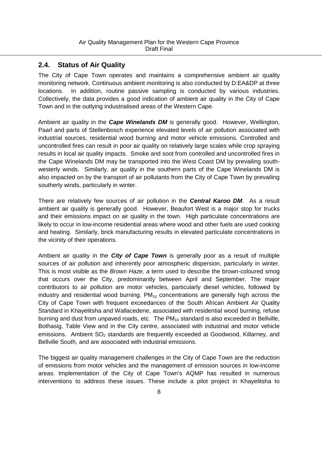### **2.4. Status of Air Quality**

The City of Cape Town operates and maintains a comprehensive ambient air quality monitoring network. Continuous ambient monitoring is also conducted by D:EA&DP at three locations. In addition, routine passive sampling is conducted by various industries. Collectively, the data provides a good indication of ambient air quality in the City of Cape Town and in the outlying industrialised areas of the Western Cape.

Ambient air quality in the *Cape Winelands DM* is generally good. However, Wellington, Paarl and parts of Stellenbosch experience elevated levels of air pollution associated with industrial sources, residential wood burning and motor vehicle emissions. Controlled and uncontrolled fires can result in poor air quality on relatively large scales while crop spraying results in local air quality impacts. Smoke and soot from controlled and uncontrolled fires in the Cape Winelands DM may be transported into the West Coast DM by prevailing southwesterly winds. Similarly, air quality in the southern parts of the Cape Winelands DM is also impacted on by the transport of air pollutants from the City of Cape Town by prevailing southerly winds, particularly in winter.

There are relatively few sources of air pollution in the *Central Karoo DM*. As a result ambient air quality is generally good. However, Beaufort West is a major stop for trucks and their emissions impact on air quality in the town. High particulate concentrations are likely to occur in low-income residential areas where wood and other fuels are used cooking and heating. Similarly, brick manufacturing results in elevated particulate concentrations in the vicinity of their operations.

Ambient air quality in the *City of Cape Town* is generally poor as a result of multiple sources of air pollution and inherently poor atmospheric dispersion, particularly in winter. This is most visible as the *Brown Haze, a* term used to describe the brown-coloured smog that occurs over the City, predominantly between April and September. The major contributors to air pollution are motor vehicles, particularly diesel vehicles, followed by industry and residential wood burning.  $PM_{10}$  concentrations are generally high across the City of Cape Town with frequent exceedances of the South African Ambient Air Quality Standard in Khayelitsha and Wallacedene, associated with residential wood burning, refuse burning and dust from unpaved roads, etc. The  $PM_{10}$  standard is also exceeded in Bellville, Bothasig, Table View and in the City centre, associated with industrial and motor vehicle emissions. Ambient  $SO<sub>2</sub>$  standards are frequently exceeded at Goodwood, Killarney, and Bellville South, and are associated with industrial emissions.

The biggest air quality management challenges in the City of Cape Town are the reduction of emissions from motor vehicles and the management of emission sources in low-income areas. Implementation of the City of Cape Town's AQMP has resulted in numerous interventions to address these issues. These include a pilot project in Khayelitsha to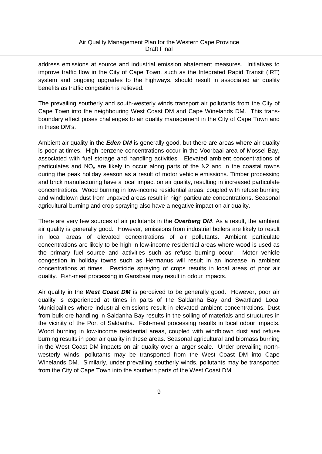address emissions at source and industrial emission abatement measures. Initiatives to improve traffic flow in the City of Cape Town, such as the Integrated Rapid Transit (IRT) system and ongoing upgrades to the highways, should result in associated air quality benefits as traffic congestion is relieved.

The prevailing southerly and south-westerly winds transport air pollutants from the City of Cape Town into the neighbouring West Coast DM and Cape Winelands DM. This transboundary effect poses challenges to air quality management in the City of Cape Town and in these DM's.

Ambient air quality in the *Eden DM* is generally good, but there are areas where air quality is poor at times. High benzene concentrations occur in the Voorbaai area of Mossel Bay, associated with fuel storage and handling activities. Elevated ambient concentrations of particulates and  $NO<sub>x</sub>$  are likely to occur along parts of the N2 and in the coastal towns during the peak holiday season as a result of motor vehicle emissions. Timber processing and brick manufacturing have a local impact on air quality, resulting in increased particulate concentrations. Wood burning in low-income residential areas, coupled with refuse burning and windblown dust from unpaved areas result in high particulate concentrations. Seasonal agricultural burning and crop spraying also have a negative impact on air quality.

There are very few sources of air pollutants in the *Overberg DM*. As a result, the ambient air quality is generally good. However, emissions from industrial boilers are likely to result in local areas of elevated concentrations of air pollutants. Ambient particulate concentrations are likely to be high in low-income residential areas where wood is used as the primary fuel source and activities such as refuse burning occur. Motor vehicle congestion in holiday towns such as Hermanus will result in an increase in ambient concentrations at times. Pesticide spraying of crops results in local areas of poor air quality. Fish-meal processing in Gansbaai may result in odour impacts.

Air quality in the *West Coast DM* is perceived to be generally good. However, poor air quality is experienced at times in parts of the Saldanha Bay and Swartland Local Municipalities where industrial emissions result in elevated ambient concentrations. Dust from bulk ore handling in Saldanha Bay results in the soiling of materials and structures in the vicinity of the Port of Saldanha. Fish-meal processing results in local odour impacts. Wood burning in low-income residential areas, coupled with windblown dust and refuse burning results in poor air quality in these areas. Seasonal agricultural and biomass burning in the West Coast DM impacts on air quality over a larger scale. Under prevailing northwesterly winds, pollutants may be transported from the West Coast DM into Cape Winelands DM. Similarly, under prevailing southerly winds, pollutants may be transported from the City of Cape Town into the southern parts of the West Coast DM.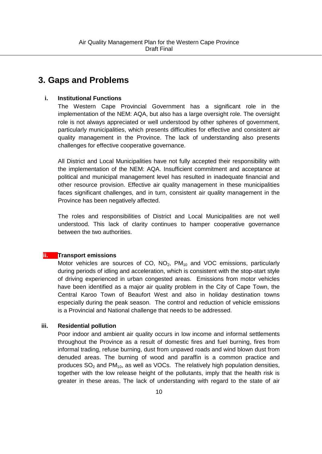# **3. Gaps and Problems**

#### **i. Institutional Functions**

The Western Cape Provincial Government has a significant role in the implementation of the NEM: AQA, but also has a large oversight role. The oversight role is not always appreciated or well understood by other spheres of government, particularly municipalities, which presents difficulties for effective and consistent air quality management in the Province. The lack of understanding also presents challenges for effective cooperative governance.

All District and Local Municipalities have not fully accepted their responsibility with the implementation of the NEM: AQA. Insufficient commitment and acceptance at political and municipal management level has resulted in inadequate financial and other resource provision. Effective air quality management in these municipalities faces significant challenges, and in turn, consistent air quality management in the Province has been negatively affected.

The roles and responsibilities of District and Local Municipalities are not well understood. This lack of clarity continues to hamper cooperative governance between the two authorities.

#### **ii. Transport emissions**

Motor vehicles are sources of CO,  $NO<sub>2</sub>$ , PM<sub>10</sub> and VOC emissions, particularly during periods of idling and acceleration, which is consistent with the stop-start style of driving experienced in urban congested areas. Emissions from motor vehicles have been identified as a major air quality problem in the City of Cape Town, the Central Karoo Town of Beaufort West and also in holiday destination towns especially during the peak season. The control and reduction of vehicle emissions is a Provincial and National challenge that needs to be addressed.

#### **iii. Residential pollution**

Poor indoor and ambient air quality occurs in low income and informal settlements throughout the Province as a result of domestic fires and fuel burning, fires from informal trading, refuse burning, dust from unpaved roads and wind blown dust from denuded areas. The burning of wood and paraffin is a common practice and produces  $SO_2$  and  $PM_{10}$ , as well as VOCs. The relatively high population densities, together with the low release height of the pollutants, imply that the health risk is greater in these areas. The lack of understanding with regard to the state of air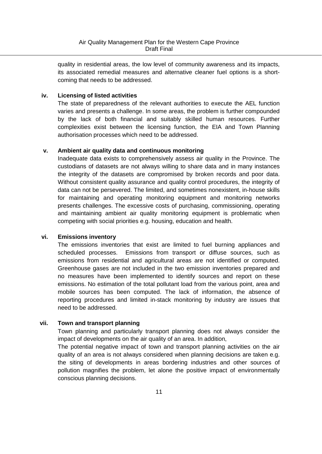quality in residential areas, the low level of community awareness and its impacts, its associated remedial measures and alternative cleaner fuel options is a shortcoming that needs to be addressed.

#### **iv. Licensing of listed activities**

The state of preparedness of the relevant authorities to execute the AEL function varies and presents a challenge. In some areas, the problem is further compounded by the lack of both financial and suitably skilled human resources. Further complexities exist between the licensing function, the EIA and Town Planning authorisation processes which need to be addressed.

#### **v. Ambient air quality data and continuous monitoring**

Inadequate data exists to comprehensively assess air quality in the Province. The custodians of datasets are not always willing to share data and in many instances the integrity of the datasets are compromised by broken records and poor data. Without consistent quality assurance and quality control procedures, the integrity of data can not be persevered. The limited, and sometimes nonexistent, in-house skills for maintaining and operating monitoring equipment and monitoring networks presents challenges. The excessive costs of purchasing, commissioning, operating and maintaining ambient air quality monitoring equipment is problematic when competing with social priorities e.g. housing, education and health.

#### **vi. Emissions inventory**

The emissions inventories that exist are limited to fuel burning appliances and scheduled processes. Emissions from transport or diffuse sources, such as emissions from residential and agricultural areas are not identified or computed. Greenhouse gases are not included in the two emission inventories prepared and no measures have been implemented to identify sources and report on these emissions. No estimation of the total pollutant load from the various point, area and mobile sources has been computed. The lack of information, the absence of reporting procedures and limited in-stack monitoring by industry are issues that need to be addressed.

#### **vii. Town and transport planning**

Town planning and particularly transport planning does not always consider the impact of developments on the air quality of an area. In addition,

The potential negative impact of town and transport planning activities on the air quality of an area is not always considered when planning decisions are taken e.g. the siting of developments in areas bordering industries and other sources of pollution magnifies the problem, let alone the positive impact of environmentally conscious planning decisions.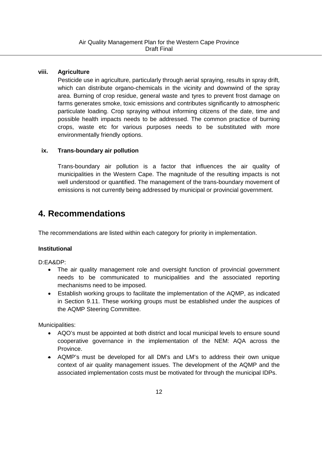#### **viii. Agriculture**

Pesticide use in agriculture, particularly through aerial spraying, results in spray drift, which can distribute organo-chemicals in the vicinity and downwind of the spray area. Burning of crop residue, general waste and tyres to prevent frost damage on farms generates smoke, toxic emissions and contributes significantly to atmospheric particulate loading. Crop spraying without informing citizens of the date, time and possible health impacts needs to be addressed. The common practice of burning crops, waste etc for various purposes needs to be substituted with more environmentally friendly options.

#### **ix. Trans-boundary air pollution**

Trans-boundary air pollution is a factor that influences the air quality of municipalities in the Western Cape. The magnitude of the resulting impacts is not well understood or quantified. The management of the trans-boundary movement of emissions is not currently being addressed by municipal or provincial government.

# **4. Recommendations**

The recommendations are listed within each category for priority in implementation.

#### **Institutional**

D:EA&DP:

- The air quality management role and oversight function of provincial government needs to be communicated to municipalities and the associated reporting mechanisms need to be imposed.
- Establish working groups to facilitate the implementation of the AQMP, as indicated in Section 9.11. These working groups must be established under the auspices of the AQMP Steering Committee.

Municipalities:

- AQO's must be appointed at both district and local municipal levels to ensure sound cooperative governance in the implementation of the NEM: AQA across the Province.
- AQMP's must be developed for all DM's and LM's to address their own unique context of air quality management issues. The development of the AQMP and the associated implementation costs must be motivated for through the municipal IDPs.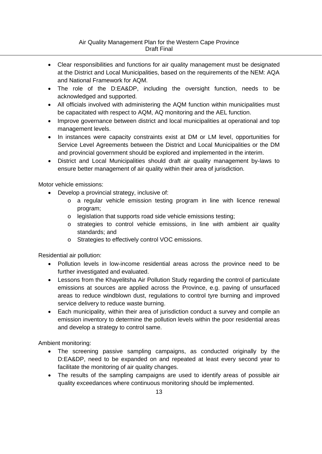- Clear responsibilities and functions for air quality management must be designated at the District and Local Municipalities, based on the requirements of the NEM: AQA and National Framework for AQM.
- The role of the D:EA&DP, including the oversight function, needs to be acknowledged and supported.
- All officials involved with administering the AQM function within municipalities must be capacitated with respect to AQM, AQ monitoring and the AEL function.
- Improve governance between district and local municipalities at operational and top management levels.
- In instances were capacity constraints exist at DM or LM level, opportunities for Service Level Agreements between the District and Local Municipalities or the DM and provincial government should be explored and implemented in the interim.
- District and Local Municipalities should draft air quality management by-laws to ensure better management of air quality within their area of jurisdiction.

Motor vehicle emissions:

- Develop a provincial strategy, inclusive of:
	- o a regular vehicle emission testing program in line with licence renewal program;
	- o legislation that supports road side vehicle emissions testing;
	- o strategies to control vehicle emissions, in line with ambient air quality standards; and
	- o Strategies to effectively control VOC emissions.

Residential air pollution:

- Pollution levels in low-income residential areas across the province need to be further investigated and evaluated.
- Lessons from the Khayelitsha Air Pollution Study regarding the control of particulate emissions at sources are applied across the Province, e.g. paving of unsurfaced areas to reduce windblown dust, regulations to control tyre burning and improved service delivery to reduce waste burning.
- Each municipality, within their area of jurisdiction conduct a survey and compile an emission inventory to determine the pollution levels within the poor residential areas and develop a strategy to control same.

Ambient monitoring:

- The screening passive sampling campaigns, as conducted originally by the D:EA&DP, need to be expanded on and repeated at least every second year to facilitate the monitoring of air quality changes.
- The results of the sampling campaigns are used to identify areas of possible air quality exceedances where continuous monitoring should be implemented.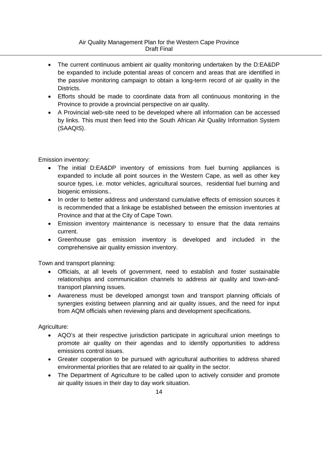- The current continuous ambient air quality monitoring undertaken by the D:EA&DP be expanded to include potential areas of concern and areas that are identified in the passive monitoring campaign to obtain a long-term record of air quality in the Districts.
- Efforts should be made to coordinate data from all continuous monitoring in the Province to provide a provincial perspective on air quality.
- A Provincial web-site need to be developed where all information can be accessed by links. This must then feed into the South African Air Quality Information System (SAAQIS).

Emission inventory:

- The initial D:EA&DP inventory of emissions from fuel burning appliances is expanded to include all point sources in the Western Cape, as well as other key source types, i.e. motor vehicles, agricultural sources, residential fuel burning and biogenic emissions..
- In order to better address and understand cumulative effects of emission sources it is recommended that a linkage be established between the emission inventories at Province and that at the City of Cape Town.
- Emission inventory maintenance is necessary to ensure that the data remains current.
- Greenhouse gas emission inventory is developed and included in the comprehensive air quality emission inventory.

Town and transport planning:

- Officials, at all levels of government, need to establish and foster sustainable relationships and communication channels to address air quality and town-andtransport planning issues.
- Awareness must be developed amongst town and transport planning officials of synergies existing between planning and air quality issues, and the need for input from AQM officials when reviewing plans and development specifications.

Agriculture:

- AQO's at their respective jurisdiction participate in agricultural union meetings to promote air quality on their agendas and to identify opportunities to address emissions control issues.
- Greater cooperation to be pursued with agricultural authorities to address shared environmental priorities that are related to air quality in the sector.
- The Department of Agriculture to be called upon to actively consider and promote air quality issues in their day to day work situation.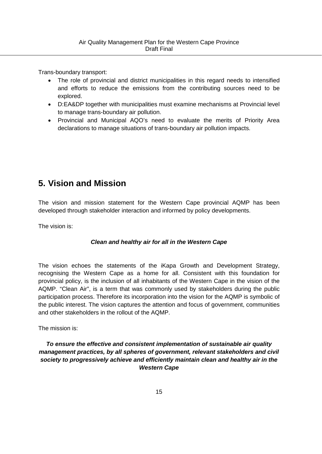Trans-boundary transport:

- The role of provincial and district municipalities in this regard needs to intensified and efforts to reduce the emissions from the contributing sources need to be explored.
- D:EA&DP together with municipalities must examine mechanisms at Provincial level to manage trans-boundary air pollution.
- Provincial and Municipal AQO's need to evaluate the merits of Priority Area declarations to manage situations of trans-boundary air pollution impacts.

# **5. Vision and Mission**

The vision and mission statement for the Western Cape provincial AQMP has been developed through stakeholder interaction and informed by policy developments.

The vision is:

#### *Clean and healthy air for all in the Western Cape*

The vision echoes the statements of the iKapa Growth and Development Strategy, recognising the Western Cape as a home for all. Consistent with this foundation for provincial policy, is the inclusion of all inhabitants of the Western Cape in the vision of the AQMP. "Clean Air", is a term that was commonly used by stakeholders during the public participation process. Therefore its incorporation into the vision for the AQMP is symbolic of the public interest. The vision captures the attention and focus of government, communities and other stakeholders in the rollout of the AQMP.

The mission is:

*To ensure the effective and consistent implementation of sustainable air quality management practices, by all spheres of government, relevant stakeholders and civil society to progressively achieve and efficiently maintain clean and healthy air in the Western Cape*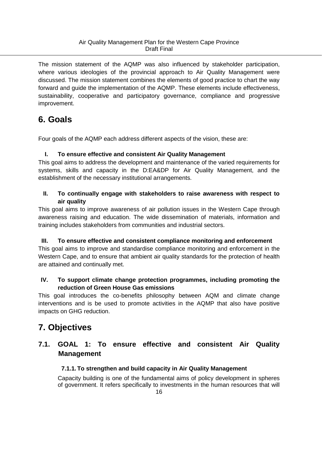The mission statement of the AQMP was also influenced by stakeholder participation, where various ideologies of the provincial approach to Air Quality Management were discussed. The mission statement combines the elements of good practice to chart the way forward and guide the implementation of the AQMP. These elements include effectiveness, sustainability, cooperative and participatory governance, compliance and progressive improvement.

# **6. Goals**

Four goals of the AQMP each address different aspects of the vision, these are:

### **I. To ensure effective and consistent Air Quality Management**

This goal aims to address the development and maintenance of the varied requirements for systems, skills and capacity in the D:EA&DP for Air Quality Management, and the establishment of the necessary institutional arrangements.

#### **II. To continually engage with stakeholders to raise awareness with respect to air quality**

This goal aims to improve awareness of air pollution issues in the Western Cape through awareness raising and education. The wide dissemination of materials, information and training includes stakeholders from communities and industrial sectors.

### **III. To ensure effective and consistent compliance monitoring and enforcement**

This goal aims to improve and standardise compliance monitoring and enforcement in the Western Cape, and to ensure that ambient air quality standards for the protection of health are attained and continually met.

### **IV. To support climate change protection programmes, including promoting the reduction of Green House Gas emissions**

This goal introduces the co-benefits philosophy between AQM and climate change interventions and is be used to promote activities in the AQMP that also have positive impacts on GHG reduction.

# **7. Objectives**

# **7.1. GOAL 1: To ensure effective and consistent Air Quality Management**

### **7.1.1. To strengthen and build capacity in Air Quality Management**

Capacity building is one of the fundamental aims of policy development in spheres of government. It refers specifically to investments in the human resources that will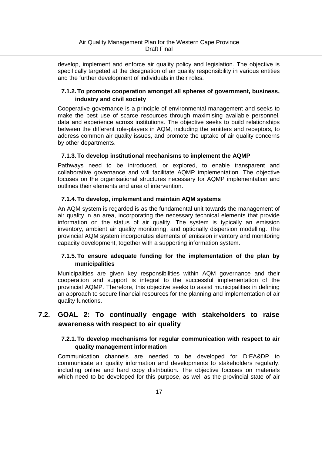develop, implement and enforce air quality policy and legislation. The objective is specifically targeted at the designation of air quality responsibility in various entities and the further development of individuals in their roles.

#### **7.1.2. To promote cooperation amongst all spheres of government, business, industry and civil society**

Cooperative governance is a principle of environmental management and seeks to make the best use of scarce resources through maximising available personnel, data and experience across institutions. The objective seeks to build relationships between the different role-players in AQM, including the emitters and receptors, to address common air quality issues, and promote the uptake of air quality concerns by other departments.

#### **7.1.3. To develop institutional mechanisms to implement the AQMP**

Pathways need to be introduced, or explored, to enable transparent and collaborative governance and will facilitate AQMP implementation. The objective focuses on the organisational structures necessary for AQMP implementation and outlines their elements and area of intervention.

#### **7.1.4. To develop, implement and maintain AQM systems**

An AQM system is regarded is as the fundamental unit towards the management of air quality in an area, incorporating the necessary technical elements that provide information on the status of air quality. The system is typically an emission inventory, ambient air quality monitoring, and optionally dispersion modelling. The provincial AQM system incorporates elements of emission inventory and monitoring capacity development, together with a supporting information system.

#### **7.1.5. To ensure adequate funding for the implementation of the plan by municipalities**

Municipalities are given key responsibilities within AQM governance and their cooperation and support is integral to the successful implementation of the provincial AQMP. Therefore, this objective seeks to assist municipalities in defining an approach to secure financial resources for the planning and implementation of air quality functions.

### **7.2. GOAL 2: To continually engage with stakeholders to raise awareness with respect to air quality**

#### **7.2.1. To develop mechanisms for regular communication with respect to air quality management information**

Communication channels are needed to be developed for D:EA&DP to communicate air quality information and developments to stakeholders regularly, including online and hard copy distribution. The objective focuses on materials which need to be developed for this purpose, as well as the provincial state of air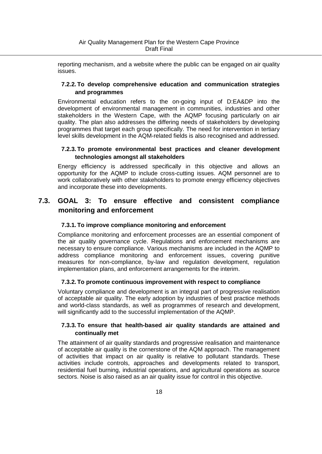reporting mechanism, and a website where the public can be engaged on air quality issues.

#### **7.2.2. To develop comprehensive education and communication strategies and programmes**

Environmental education refers to the on-going input of D:EA&DP into the development of environmental management in communities, industries and other stakeholders in the Western Cape, with the AQMP focusing particularly on air quality. The plan also addresses the differing needs of stakeholders by developing programmes that target each group specifically. The need for intervention in tertiary level skills development in the AQM-related fields is also recognised and addressed.

#### **7.2.3. To promote environmental best practices and cleaner development technologies amongst all stakeholders**

Energy efficiency is addressed specifically in this objective and allows an opportunity for the AQMP to include cross-cutting issues. AQM personnel are to work collaboratively with other stakeholders to promote energy efficiency objectives and incorporate these into developments.

# **7.3. GOAL 3: To ensure effective and consistent compliance monitoring and enforcement**

#### **7.3.1. To improve compliance monitoring and enforcement**

Compliance monitoring and enforcement processes are an essential component of the air quality governance cycle. Regulations and enforcement mechanisms are necessary to ensure compliance. Various mechanisms are included in the AQMP to address compliance monitoring and enforcement issues, covering punitive measures for non-compliance, by-law and regulation development, regulation implementation plans, and enforcement arrangements for the interim.

#### **7.3.2. To promote continuous improvement with respect to compliance**

Voluntary compliance and development is an integral part of progressive realisation of acceptable air quality. The early adoption by industries of best practice methods and world-class standards, as well as programmes of research and development, will significantly add to the successful implementation of the AQMP.

#### **7.3.3. To ensure that health-based air quality standards are attained and continually met**

The attainment of air quality standards and progressive realisation and maintenance of acceptable air quality is the cornerstone of the AQM approach. The management of activities that impact on air quality is relative to pollutant standards. These activities include controls, approaches and developments related to transport, residential fuel burning, industrial operations, and agricultural operations as source sectors. Noise is also raised as an air quality issue for control in this objective.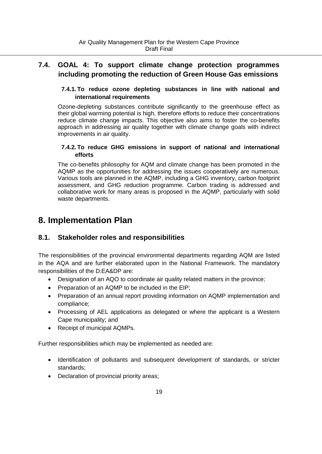# **7.4. GOAL 4: To support climate change protection programmes including promoting the reduction of Green House Gas emissions**

#### **7.4.1. To reduce ozone depleting substances in line with national and international requirements**

Ozone-depleting substances contribute significantly to the greenhouse effect as their global warming potential is high, therefore efforts to reduce their concentrations reduce climate change impacts. This objective also aims to foster the co-benefits approach in addressing air quality together with climate change goals with indirect improvements in air quality.

#### **7.4.2. To reduce GHG emissions in support of national and international efforts**

The co-benefits philosophy for AQM and climate change has been promoted in the AQMP as the opportunities for addressing the issues cooperatively are numerous. Various tools are planned in the AQMP, including a GHG inventory, carbon footprint assessment, and GHG reduction programme. Carbon trading is addressed and collaborative work for many areas is proposed in the AQMP, particularly with solid waste departments.

# **8. Implementation Plan**

# **8.1. Stakeholder roles and responsibilities**

The responsibilities of the provincial environmental departments regarding AQM are listed in the AQA and are further elaborated upon in the National Framework. The mandatory responsibilities of the D:EA&DP are:

- Designation of an AQO to coordinate air quality related matters in the province;
- Preparation of an AQMP to be included in the EIP;
- Preparation of an annual report providing information on AQMP implementation and compliance;
- Processing of AEL applications as delegated or where the applicant is a Western Cape municipality; and
- Receipt of municipal AQMPs.

Further responsibilities which may be implemented as needed are:

- Identification of pollutants and subsequent development of standards, or stricter standards;
- Declaration of provincial priority areas;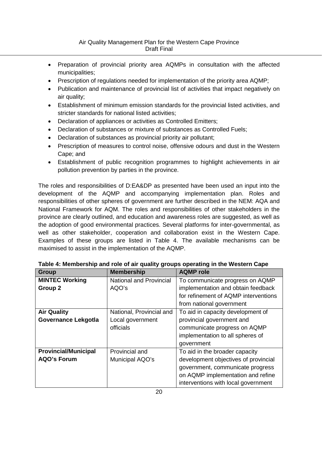- Preparation of provincial priority area AQMPs in consultation with the affected municipalities;
- Prescription of regulations needed for implementation of the priority area AQMP;
- Publication and maintenance of provincial list of activities that impact negatively on air quality;
- Establishment of minimum emission standards for the provincial listed activities, and stricter standards for national listed activities;
- Declaration of appliances or activities as Controlled Emitters;
- Declaration of substances or mixture of substances as Controlled Fuels;
- Declaration of substances as provincial priority air pollutant;
- Prescription of measures to control noise, offensive odours and dust in the Western Cape; and
- Establishment of public recognition programmes to highlight achievements in air pollution prevention by parties in the province.

The roles and responsibilities of D:EA&DP as presented have been used an input into the development of the AQMP and accompanying implementation plan. Roles and responsibilities of other spheres of government are further described in the NEM: AQA and National Framework for AQM. The roles and responsibilities of other stakeholders in the province are clearly outlined, and education and awareness roles are suggested, as well as the adoption of good environmental practices. Several platforms for inter-governmental, as well as other stakeholder, cooperation and collaboration exist in the Western Cape. Examples of these groups are listed in Table 4. The available mechanisms can be maximised to assist in the implementation of the AQMP.

| <b>Group</b>                | <b>Membership</b>              | <b>AQMP</b> role                     |
|-----------------------------|--------------------------------|--------------------------------------|
| <b>MINTEC Working</b>       | <b>National and Provincial</b> | To communicate progress on AQMP      |
| Group 2                     | AQO's                          | implementation and obtain feedback   |
|                             |                                | for refinement of AQMP interventions |
|                             |                                | from national government             |
| <b>Air Quality</b>          | National, Provincial and       | To aid in capacity development of    |
| <b>Governance Lekgotla</b>  | Local government               | provincial government and            |
|                             | <b>officials</b>               | communicate progress on AQMP         |
|                             |                                | implementation to all spheres of     |
|                             |                                | government                           |
| <b>Provincial/Municipal</b> | Provincial and                 | To aid in the broader capacity       |
| <b>AQO's Forum</b>          | Municipal AQO's                | development objectives of provincial |
|                             |                                | government, communicate progress     |
|                             |                                | on AQMP implementation and refine    |
|                             |                                | interventions with local government  |

**Table 4: Membership and role of air quality groups operating in the Western Cape**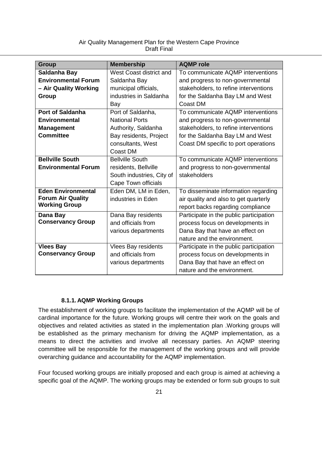| <b>Group</b>               | <b>Membership</b>          | <b>AQMP</b> role                        |
|----------------------------|----------------------------|-----------------------------------------|
| Saldanha Bay               | West Coast district and    | To communicate AQMP interventions       |
| <b>Environmental Forum</b> | Saldanha Bay               | and progress to non-governmental        |
| - Air Quality Working      | municipal officials,       | stakeholders, to refine interventions   |
| Group                      | industries in Saldanha     | for the Saldanha Bay LM and West        |
|                            | Bay                        | Coast DM                                |
| <b>Port of Saldanha</b>    | Port of Saldanha,          | To communicate AQMP interventions       |
| <b>Environmental</b>       | <b>National Ports</b>      | and progress to non-governmental        |
| <b>Management</b>          | Authority, Saldanha        | stakeholders, to refine interventions   |
| <b>Committee</b>           | Bay residents, Project     | for the Saldanha Bay LM and West        |
|                            | consultants, West          | Coast DM specific to port operations    |
|                            | Coast DM                   |                                         |
| <b>Bellville South</b>     | <b>Bellville South</b>     | To communicate AQMP interventions       |
| <b>Environmental Forum</b> | residents, Bellville       | and progress to non-governmental        |
|                            | South industries, City of  | stakeholders                            |
|                            | Cape Town officials        |                                         |
| <b>Eden Environmental</b>  | Eden DM, LM in Eden,       | To disseminate information regarding    |
| <b>Forum Air Quality</b>   | industries in Eden         | air quality and also to get quarterly   |
| <b>Working Group</b>       |                            | report backs regarding compliance       |
| Dana Bay                   | Dana Bay residents         | Participate in the public participation |
| <b>Conservancy Group</b>   | and officials from         | process focus on developments in        |
|                            | various departments        | Dana Bay that have an effect on         |
|                            |                            | nature and the environment.             |
| <b>Vlees Bay</b>           | <b>Vlees Bay residents</b> | Participate in the public participation |
| <b>Conservancy Group</b>   | and officials from         | process focus on developments in        |
|                            | various departments        | Dana Bay that have an effect on         |
|                            |                            | nature and the environment.             |

#### **8.1.1. AQMP Working Groups**

The establishment of working groups to facilitate the implementation of the AQMP will be of cardinal importance for the future. Working groups will centre their work on the goals and objectives and related activities as stated in the implementation plan .Working groups will be established as the primary mechanism for driving the AQMP implementation, as a means to direct the activities and involve all necessary parties. An AQMP steering committee will be responsible for the management of the working groups and will provide overarching guidance and accountability for the AQMP implementation.

Four focused working groups are initially proposed and each group is aimed at achieving a specific goal of the AQMP. The working groups may be extended or form sub groups to suit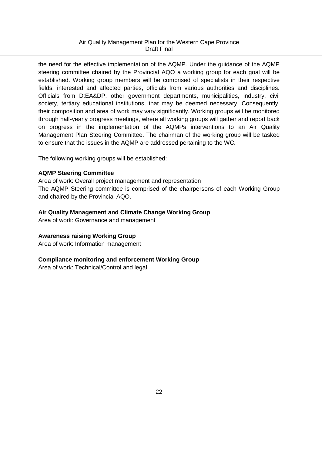the need for the effective implementation of the AQMP. Under the guidance of the AQMP steering committee chaired by the Provincial AQO a working group for each goal will be established. Working group members will be comprised of specialists in their respective fields, interested and affected parties, officials from various authorities and disciplines. Officials from D:EA&DP, other government departments, municipalities, industry, civil society, tertiary educational institutions, that may be deemed necessary. Consequently, their composition and area of work may vary significantly. Working groups will be monitored through half-yearly progress meetings, where all working groups will gather and report back on progress in the implementation of the AQMPs interventions to an Air Quality Management Plan Steering Committee. The chairman of the working group will be tasked to ensure that the issues in the AQMP are addressed pertaining to the WC.

The following working groups will be established:

#### **AQMP Steering Committee**

Area of work: Overall project management and representation The AQMP Steering committee is comprised of the chairpersons of each Working Group and chaired by the Provincial AQO.

#### **Air Quality Management and Climate Change Working Group**

Area of work: Governance and management

#### **Awareness raising Working Group**

Area of work: Information management

#### **Compliance monitoring and enforcement Working Group**

Area of work: Technical/Control and legal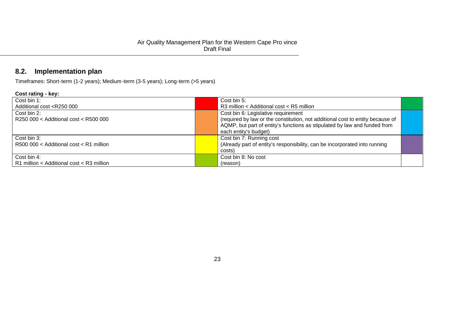# **8.2. Implementation plan**

Timeframes: Short-term (1-2 years); Medium-term (3-5 years); Long-term (>5 years)

| Cost bin 5:                                                                    |  |
|--------------------------------------------------------------------------------|--|
| R3 million < Additional cost < R5 million                                      |  |
| Cost bin 6: Legislative requirement                                            |  |
| (required by law or the constitution, not additional cost to entity because of |  |
| AQMP, but part of entity's functions as stipulated by law and funded from      |  |
| each entity's budget)                                                          |  |
| Cost bin 7: Running cost                                                       |  |
| (Already part of entity's responsibility, can be incorporated into running     |  |
| costs)                                                                         |  |
| Cost bin 8: No cost                                                            |  |
| (reason)                                                                       |  |
|                                                                                |  |

Ξ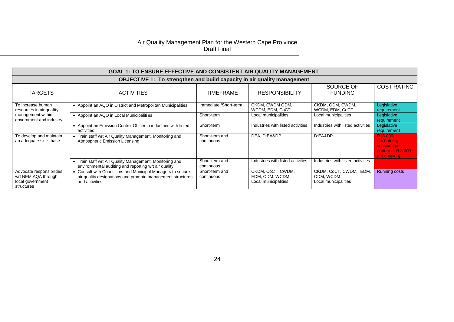| GOAL 1: TO ENSURE EFFECTIVE AND CONSISTENT AIR QUALITY MANAGEMENT                  |                                                                                                                                             |                              |                                                             |                                                             |                                                                                            |  |
|------------------------------------------------------------------------------------|---------------------------------------------------------------------------------------------------------------------------------------------|------------------------------|-------------------------------------------------------------|-------------------------------------------------------------|--------------------------------------------------------------------------------------------|--|
|                                                                                    | OBJECTIVE 1: To strengthen and build capacity in air quality management                                                                     |                              |                                                             |                                                             |                                                                                            |  |
| <b>TARGETS</b>                                                                     | <b>ACTIVITIES</b>                                                                                                                           | <b>TIMEFRAME</b>             | <b>RESPONSIBILITY</b>                                       | SOURCE OF<br><b>FUNDING</b>                                 | <b>COST RATING</b>                                                                         |  |
| To increase human<br>resources in air quality                                      | • Appoint an AQO in District and Metropolitan Municipalities                                                                                | Immediate /Short-term        | CKDM, CWDM ODM,<br>WCDM, EDM, CoCT                          | CKDM, ODM, CWDM,<br>WCDM, EDM, CoCT                         | Legislative<br>requirement                                                                 |  |
| management within<br>government and industry                                       | • Appoint an AQO in Local Municipalities                                                                                                    | Short-term                   | Local municipalities                                        | Local municipalities                                        | Legislative<br>requirement                                                                 |  |
|                                                                                    | • Appoint an Emission Control Officer in industries with listed<br>activities                                                               | Short-term                   | Industries with listed activities                           | Industries with listed activities                           | Legislative<br>requirement                                                                 |  |
| To develop and maintain<br>an adequate skills base                                 | • Train staff wrt Air Quality Management, Monitoring and<br>Atmospheric Emission Licensing                                                  | Short-term and<br>continuous | DEA. D:EA&DP                                                | D:EA&DP                                                     | R <sub>16</sub> 000<br>$(2x)$ training<br>sessions per<br>annum at R 8 000<br>per session) |  |
|                                                                                    | • Train staff wrt Air Quality Management, Monitoring and<br>environmental auditing and reporting wrt air quality                            | Short-term and<br>continuous | Industries with listed activities                           | Industries with listed activities                           |                                                                                            |  |
| Advocate responsibilities<br>wrt NEM:AQA through<br>local government<br>structures | • Consult with Councillors and Municipal Managers to secure<br>air quality designations and promote management structures<br>and activities | Short-term and<br>continuous | CKDM, CoCT, CWDM,<br>EDM, ODM, WCDM<br>Local municipalities | CKDM, CoCT, CWDM, EDM,<br>ODM, WCDM<br>Local municipalities | <b>Running costs</b>                                                                       |  |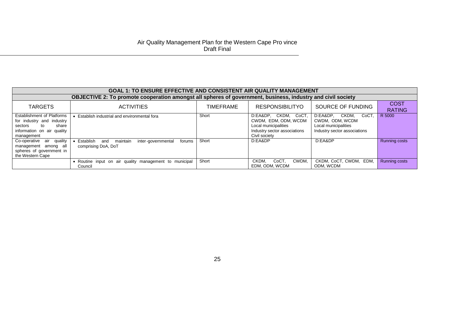| GOAL 1: TO ENSURE EFFECTIVE AND CONSISTENT AIR QUALITY MANAGEMENT                                                                    |                                                                                                             |                  |                                                                                                                          |                                                                                                       |                              |
|--------------------------------------------------------------------------------------------------------------------------------------|-------------------------------------------------------------------------------------------------------------|------------------|--------------------------------------------------------------------------------------------------------------------------|-------------------------------------------------------------------------------------------------------|------------------------------|
|                                                                                                                                      | OBJECTIVE 2: To promote cooperation amongst all spheres of government, business, industry and civil society |                  |                                                                                                                          |                                                                                                       |                              |
| <b>TARGETS</b>                                                                                                                       | <b>ACTIVITIES</b>                                                                                           | <b>TIMEFRAME</b> | <b>RESPONSIBILITYO</b>                                                                                                   | SOURCE OF FUNDING                                                                                     | <b>COST</b><br><b>RATING</b> |
| <b>Establishment of Platforms</b><br>for industry and industry<br>share<br>sectors<br>to<br>information on air quality<br>management | Establish industrial and environmental fora                                                                 | Short            | CKDM, CoCT,<br>D:EA&DP.<br>CWDM, EDM, ODM, WCDM<br>Local municipalities<br>Industry sector associations<br>Civil society | D:EA&DP.<br>CKDM.<br>CoCT.<br>CWDM, ODM, WCDM<br>Local municipalities<br>Industry sector associations | R 5000                       |
| air<br>quality<br>Co-operative<br>management among all<br>spheres of government in<br>the Western Cape                               | Establish<br>inter-governmental<br>forums<br>maintain<br>and<br>comprising DoA, DoT                         | Short            | D:EA&DP                                                                                                                  | D:EA&DP                                                                                               | <b>Running costs</b>         |
|                                                                                                                                      | Routine input on air quality management to municipal<br>Council                                             | Short            | CKDM.<br>CoCT.<br>CWDM,<br>EDM. ODM. WCDM                                                                                | CKDM, CoCT, CWDM,<br>EDM,<br>ODM. WCDM                                                                | <b>Running costs</b>         |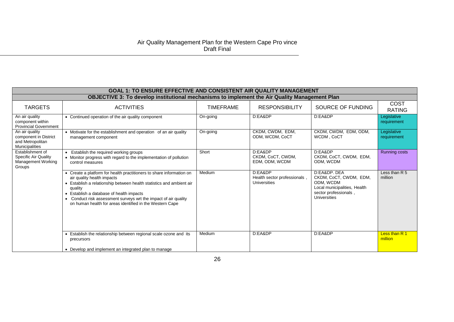|                                                                                 | <b>GOAL 1: TO ENSURE EFFECTIVE AND CONSISTENT AIR QUALITY MANAGEMENT</b>                                                                                                                                                                                                                                                                                         |                  |                                                                |                                                                                                                                     |                              |  |  |  |
|---------------------------------------------------------------------------------|------------------------------------------------------------------------------------------------------------------------------------------------------------------------------------------------------------------------------------------------------------------------------------------------------------------------------------------------------------------|------------------|----------------------------------------------------------------|-------------------------------------------------------------------------------------------------------------------------------------|------------------------------|--|--|--|
|                                                                                 | <b>OBJECTIVE 3: To develop institutional mechanisms to implement the Air Quality Management Plan</b>                                                                                                                                                                                                                                                             |                  |                                                                |                                                                                                                                     |                              |  |  |  |
| <b>TARGETS</b>                                                                  | <b>ACTIVITIES</b>                                                                                                                                                                                                                                                                                                                                                | <b>TIMEFRAME</b> | <b>RESPONSIBILITY</b>                                          | SOURCE OF FUNDING                                                                                                                   | <b>COST</b><br><b>RATING</b> |  |  |  |
| An air quality<br>component within<br><b>Provincial Government</b>              | • Continued operation of the air quality component                                                                                                                                                                                                                                                                                                               | On-going         | D:EA&DP                                                        | D:EA&DP                                                                                                                             | Legislative<br>requirement   |  |  |  |
| An air quality<br>component in District<br>and Metropolitan<br>Municipalities   | • Motivate for the establishment and operation of an air quality<br>management component                                                                                                                                                                                                                                                                         | On-going         | CKDM, CWDM, EDM,<br>ODM, WCDM, CoCT                            | CKDM, CWDM, EDM, ODM,<br>WCDM, CoCT                                                                                                 | Legislative<br>requirement   |  |  |  |
| Establishment of<br><b>Specific Air Quality</b><br>Management Working<br>Groups | Establish the required working groups<br>• Monitor progress with regard to the implementation of pollution<br>control measures                                                                                                                                                                                                                                   | Short            | D:EA&DP<br>CKDM, CoCT, CWDM,<br>EDM, ODM, WCDM                 | D:EA&DP<br>CKDM, CoCT, CWDM, EDM,<br>ODM, WCDM                                                                                      | <b>Running costs</b>         |  |  |  |
|                                                                                 | • Create a platform for health practitioners to share information on<br>air quality health impacts<br>• Establish a relationship between health statistics and ambient air<br>quality<br>• Establish a database of health impacts<br>• Conduct risk assessment surveys wrt the impact of air quality<br>on human health for areas identified in the Western Cape | Medium           | D:EA&DP<br>Health sector professionals,<br><b>Universities</b> | D:EA&DP, DEA<br>CKDM, CoCT, CWDM, EDM,<br>ODM. WCDM<br>Local municipalities, Health<br>sector professionals,<br><b>Universities</b> | Less than R 5<br>million     |  |  |  |
|                                                                                 | • Establish the relationship between regional scale ozone and its<br>precursors                                                                                                                                                                                                                                                                                  | Medium           | D:EA&DP                                                        | D:EA&DP                                                                                                                             | Less than R 1<br>million     |  |  |  |
|                                                                                 | • Develop and implement an integrated plan to manage                                                                                                                                                                                                                                                                                                             |                  |                                                                |                                                                                                                                     |                              |  |  |  |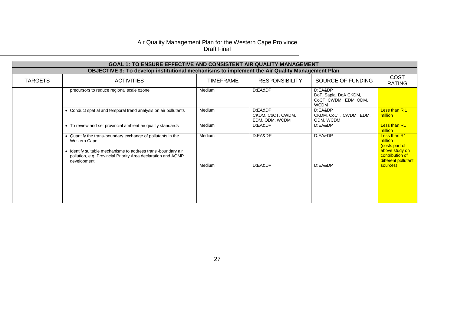|                | <b>GOAL 1: TO ENSURE EFFECTIVE AND CONSISTENT AIR QUALITY MANAGEMENT</b>                                                                                                                                                    |                  |                                                |                                                                          |                                                                                                       |  |  |  |  |
|----------------|-----------------------------------------------------------------------------------------------------------------------------------------------------------------------------------------------------------------------------|------------------|------------------------------------------------|--------------------------------------------------------------------------|-------------------------------------------------------------------------------------------------------|--|--|--|--|
|                | <b>OBJECTIVE 3: To develop institutional mechanisms to implement the Air Quality Management Plan</b>                                                                                                                        |                  |                                                |                                                                          |                                                                                                       |  |  |  |  |
| <b>TARGETS</b> | <b>ACTIVITIES</b>                                                                                                                                                                                                           | <b>TIMEFRAME</b> | <b>RESPONSIBILITY</b>                          | SOURCE OF FUNDING                                                        | <b>COST</b><br><b>RATING</b>                                                                          |  |  |  |  |
|                | precursors to reduce regional scale ozone                                                                                                                                                                                   | Medium           | D:EA&DP                                        | D:EA&DP<br>DoT, Sapia, DoA CKDM,<br>CoCT, CWDM, EDM, ODM,<br><b>WCDM</b> |                                                                                                       |  |  |  |  |
|                | • Conduct spatial and temporal trend analysis on air pollutants                                                                                                                                                             | Medium           | D:EA&DP<br>CKDM, CoCT, CWDM,<br>EDM, ODM, WCDM | D:EA&DP<br>CKDM, CoCT, CWDM, EDM,<br>ODM, WCDM                           | Less than R 1<br>million                                                                              |  |  |  |  |
|                | • To review and set provincial ambient air quality standards                                                                                                                                                                | Medium           | D:EA&DP                                        | D:EA&DP                                                                  | Less than R1<br>million                                                                               |  |  |  |  |
|                | • Quantify the trans-boundary exchange of pollutants in the<br>Western Cape<br>• Identify suitable mechanisms to address trans-boundary air<br>pollution, e.g. Provincial Priority Area declaration and AQMP<br>development | Medium           | D:EA&DP                                        | D:EA&DP                                                                  | Less than R1<br>million<br>(costs part of<br>above study on<br>contribution of<br>different pollutant |  |  |  |  |
|                |                                                                                                                                                                                                                             | Medium           | D:EA&DP                                        | D:EA&DP                                                                  | sources)                                                                                              |  |  |  |  |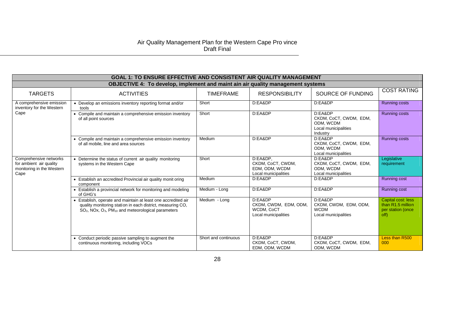| <b>GOAL 1: TO ENSURE EFFECTIVE AND CONSISTENT AIR QUALITY MANAGEMENT</b>               |                                                                                                                                                                                                                     |                      |                                                                         |                                                                                    |                                                                         |  |  |  |  |
|----------------------------------------------------------------------------------------|---------------------------------------------------------------------------------------------------------------------------------------------------------------------------------------------------------------------|----------------------|-------------------------------------------------------------------------|------------------------------------------------------------------------------------|-------------------------------------------------------------------------|--|--|--|--|
|                                                                                        | <b>OBJECTIVE 4: To develop, implement and maint ain air quality management systems</b>                                                                                                                              |                      |                                                                         |                                                                                    |                                                                         |  |  |  |  |
| <b>TARGETS</b>                                                                         | <b>ACTIVITIES</b>                                                                                                                                                                                                   | <b>TIMEFRAME</b>     | <b>RESPONSIBILITY</b>                                                   | SOURCE OF FUNDING                                                                  | <b>COST RATING</b>                                                      |  |  |  |  |
| A comprehensive emission<br>inventory for the Western                                  | • Develop an emissions inventory reporting format and/or<br>tools                                                                                                                                                   | Short                | D:EA&DP                                                                 | D:EA&DP                                                                            | <b>Running costs</b>                                                    |  |  |  |  |
| Cape                                                                                   | • Compile and maintain a comprehensive emission inventory<br>of all point sources                                                                                                                                   | Short                | D:EA&DP                                                                 | D:EA&DP<br>CKDM, CoCT, CWDM, EDM,<br>ODM. WCDM<br>Local municipalities<br>Industry | <b>Running costs</b>                                                    |  |  |  |  |
|                                                                                        | • Compile and maintain a comprehensive emission inventory<br>of all mobile, line and area sources                                                                                                                   | Medium               | D:EA&DP                                                                 | D:EA&DP<br>CKDM, CoCT, CWDM, EDM,<br>ODM. WCDM<br>Local municipalities             | <b>Running costs</b>                                                    |  |  |  |  |
| Comprehensive networks<br>for ambient air quality<br>monitoring in the Western<br>Cape | Determine the status of current air quality monitoring<br>systems in the Western Cape                                                                                                                               | Short                | D:EA&DP.<br>CKDM, CoCT, CWDM,<br>EDM. ODM. WCDM<br>Local municipalities | D:EA&DP<br>CKDM, CoCT, CWDM, EDM,<br>ODM. WCDM<br>Local municipalities             | Legislative<br>requirement                                              |  |  |  |  |
|                                                                                        | Establish an accredited Provincial air quality monit oring<br>component                                                                                                                                             | Medium               | D:EA&DP                                                                 | D:EA&DP                                                                            | <b>Running cost</b>                                                     |  |  |  |  |
|                                                                                        | Establish a provincial network for monitoring and modeling<br>of GHG's                                                                                                                                              | Medium - Long        | D:EA&DP                                                                 | D:EA&DP                                                                            | <b>Running cost</b>                                                     |  |  |  |  |
|                                                                                        | Establish, operate and maintain at least one accredited air<br>quality monitoring station in each district, measuring CO,<br>SO <sub>2</sub> , NOx, O <sub>3</sub> , PM <sub>10</sub> and meteorological parameters | Medium - Long        | D:EA&DP<br>CKDM, CWDM, EDM, ODM,<br>WCDM, CoCT<br>Local municipalities  | D:EA&DP<br>CKDM, CWDM, EDM, ODM,<br><b>WCDM</b><br>Local municipalities            | Capital cost: less<br>than R1.5 million<br>per station (once<br>$off$ ) |  |  |  |  |
|                                                                                        | Conduct periodic passive sampling to augment the<br>continuous monitoring, including VOCs                                                                                                                           | Short and continuous | D:EA&DP<br>CKDM, CoCT, CWDM,<br>EDM. ODM. WCDM                          | D:EA&DP<br>CKDM, CoCT, CWDM, EDM,<br>ODM, WCDM                                     | Less than R500<br>000                                                   |  |  |  |  |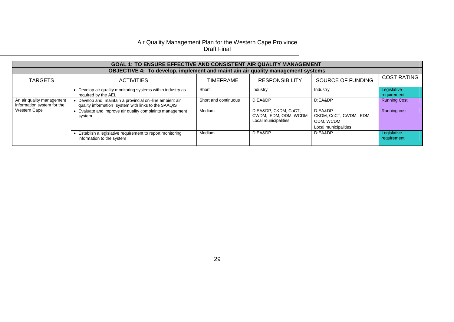|                                                         | <b>GOAL 1: TO ENSURE EFFECTIVE AND CONSISTENT AIR QUALITY MANAGEMENT</b>                                     |                      |                                                                      |                                                                        |                            |
|---------------------------------------------------------|--------------------------------------------------------------------------------------------------------------|----------------------|----------------------------------------------------------------------|------------------------------------------------------------------------|----------------------------|
|                                                         | <b>OBJECTIVE 4: To develop, implement and maint ain air quality management systems</b>                       |                      |                                                                      |                                                                        |                            |
| <b>TARGETS</b>                                          | <b>ACTIVITIES</b>                                                                                            | <b>TIMEFRAME</b>     | <b>RESPONSIBILITY</b>                                                | SOURCE OF FUNDING                                                      | <b>COST RATING</b>         |
|                                                         | • Develop air quality monitoring systems within industry as<br>required by the AEL                           | Short                | Industry                                                             | Industry                                                               | Legislative<br>requirement |
| An air quality management<br>information system for the | Develop and maintain a provincial on-line ambient air<br>quality information system with links to the SAAQIS | Short and continuous | D:EA&DP                                                              | D:EA&DP                                                                | <b>Running Cost</b>        |
| <b>Western Cape</b>                                     | Evaluate and improve air quality complaints management<br>system                                             | Medium               | D:EA&DP, CKDM, CoCT,<br>CWDM, EDM, ODM, WCDM<br>Local municipalities | D:EA&DP<br>CKDM, CoCT, CWDM, EDM,<br>ODM, WCDM<br>Local municipalities | <b>Running cost</b>        |
|                                                         | Establish a legislative requirement to report monitoring<br>information to the system                        | Medium               | D:EA&DP                                                              | D:EA&DP                                                                | Legislative<br>requirement |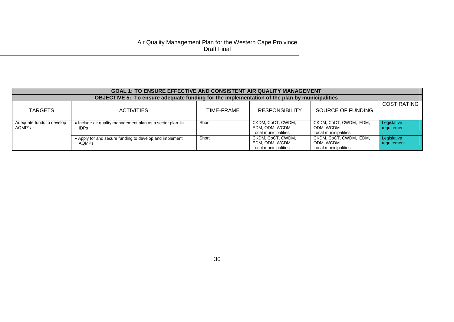| <b>GOAL 1: TO ENSURE EFFECTIVE AND CONSISTENT AIR QUALITY MANAGEMENT</b> |                                                                                                     |            |                                                             |                                                             |                            |  |  |  |
|--------------------------------------------------------------------------|-----------------------------------------------------------------------------------------------------|------------|-------------------------------------------------------------|-------------------------------------------------------------|----------------------------|--|--|--|
|                                                                          | <b>OBJECTIVE 5: To ensure adequate funding for the implementation of the plan by municipalities</b> |            |                                                             |                                                             |                            |  |  |  |
| <b>TARGETS</b>                                                           | <b>ACTIVITIES</b>                                                                                   | TIME-FRAME | <b>RESPONSIBILITY</b>                                       | SOURCE OF FUNDING                                           | <b>COST RATING</b>         |  |  |  |
| Adequate funds to develop<br>AQMP's                                      | • Include air quality management plan as a sector plan in<br>IDPs                                   | Short      | CKDM, CoCT, CWDM,<br>EDM, ODM, WCDM<br>Local municipalities | CKDM, CoCT, CWDM, EDM,<br>ODM. WCDM<br>Local municipalities | Legislative<br>requirement |  |  |  |
|                                                                          | • Apply for and secure funding to develop and implement<br><b>AOMPs</b>                             | Short      | CKDM, CoCT, CWDM,<br>EDM, ODM, WCDM<br>Local municipalities | CKDM, CoCT, CWDM, EDM,<br>ODM. WCDM<br>Local municipalities | Legislative<br>requirement |  |  |  |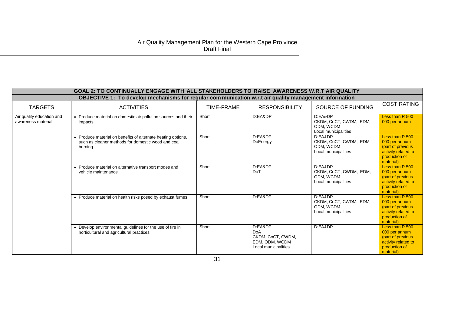|                                                 | GOAL 2: TO CONTINUALLY ENGAGE WITH ALL STAKEHOLDERS TO RAISE AWARENESS W.R.T AIR QUALITY                                      |                   |                                                                                      |                                                                        |                                                                                                            |  |  |  |
|-------------------------------------------------|-------------------------------------------------------------------------------------------------------------------------------|-------------------|--------------------------------------------------------------------------------------|------------------------------------------------------------------------|------------------------------------------------------------------------------------------------------------|--|--|--|
|                                                 | OBJECTIVE 1: To develop mechanisms for regular com munication w.r.t air quality management information                        |                   |                                                                                      |                                                                        |                                                                                                            |  |  |  |
| <b>TARGETS</b>                                  | <b>ACTIVITIES</b>                                                                                                             | <b>TIME-FRAME</b> | <b>RESPONSIBILITY</b>                                                                | SOURCE OF FUNDING                                                      | <b>COST RATING</b>                                                                                         |  |  |  |
| Air quality education and<br>awareness material | • Produce material on domestic air pollution sources and their<br>impacts                                                     | Short             | D:EA&DP                                                                              | D:EA&DP<br>CKDM, CoCT, CWDM, EDM,<br>ODM. WCDM<br>Local municipalities | Less than R 500<br>000 per annum                                                                           |  |  |  |
|                                                 | • Produce material on benefits of alternate heating options,<br>such as cleaner methods for domestic wood and coal<br>burning | Short             | D:EA&DP<br>DoEnergy                                                                  | D:EA&DP<br>CKDM, CoCT, CWDM, EDM,<br>ODM. WCDM<br>Local municipalities | Less than R 500<br>000 per annum<br>(part of previous<br>activity related to<br>production of<br>material) |  |  |  |
|                                                 | • Produce material on alternative transport modes and<br>vehicle maintenance                                                  | Short             | D:EA&DP<br><b>DoT</b>                                                                | D:EA&DP<br>CKDM, CoCT, CWDM, EDM,<br>ODM. WCDM<br>Local municipalities | Less than R 500<br>000 per annum<br>(part of previous<br>activity related to<br>production of<br>material) |  |  |  |
|                                                 | • Produce material on health risks posed by exhaust fumes                                                                     | Short             | D:EA&DP                                                                              | D:EA&DP<br>CKDM, CoCT, CWDM, EDM,<br>ODM. WCDM<br>Local municipalities | Less than R 500<br>000 per annum<br>(part of previous<br>activity related to<br>production of<br>material) |  |  |  |
|                                                 | • Develop environmental guidelines for the use of fire in<br>horticultural and agricultural practices                         | Short             | D:EA&DP<br><b>DoA</b><br>CKDM, CoCT, CWDM,<br>EDM, ODM, WCDM<br>Local municipalities | D:EA&DP                                                                | Less than R 500<br>000 per annum<br>(part of previous<br>activity related to<br>production of<br>material) |  |  |  |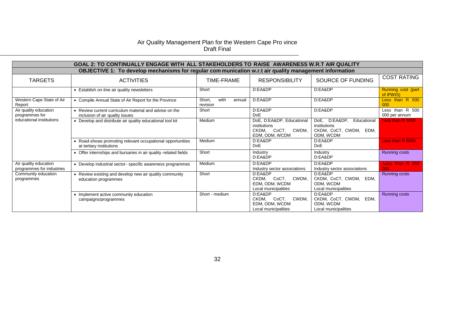|                                                    | GOAL 2: TO CONTINUALLY ENGAGE WITH ALL STAKEHOLDERS TO RAISE AWARENESS W.R.T AIR QUALITY               |                                      |                                                                                     |                                                                                        |                                     |  |  |  |
|----------------------------------------------------|--------------------------------------------------------------------------------------------------------|--------------------------------------|-------------------------------------------------------------------------------------|----------------------------------------------------------------------------------------|-------------------------------------|--|--|--|
|                                                    | OBJECTIVE 1: To develop mechanisms for regular com munication w.r.t air quality management information |                                      |                                                                                     |                                                                                        |                                     |  |  |  |
| <b>TARGETS</b>                                     | <b>ACTIVITIES</b>                                                                                      | TIME-FRAME                           | <b>RESPONSIBILITY</b>                                                               | SOURCE OF FUNDING                                                                      | <b>COST RATING</b>                  |  |  |  |
|                                                    | • Establish on-line air quality newsletters                                                            | Short                                | D:EA&DP                                                                             | D:EA&DP                                                                                | Running cost (part<br>of IPWIS)     |  |  |  |
| Western Cape State of Air<br>Report                | • Compile Annual State of Air Report for the Province                                                  | with<br>Short,<br>annual<br>revision | D:EA&DP                                                                             | D:EA&DP                                                                                | Less than R 500<br>000              |  |  |  |
| Air quality education<br>programmes for            | • Review current curriculum material and advise on the<br>inclusion of air quality issues              | Short                                | D:EA&DP<br><b>DoE</b>                                                               | D:EA&DP                                                                                | Less than R 500<br>000 per annum    |  |  |  |
| educational institutions                           | • Develop and distribute air quality educational tool kit                                              | Medium                               | DoE, D:EA&DP, Educational<br>institutions<br>CKDM, CoCT,<br>CWDM,<br>EDM, ODM, WCDM | DoE, D:EA&DP,<br>Educational<br>institutions<br>CKDM, CoCT, CWDM,<br>EDM,<br>ODM, WCDM | Less than $R$ 5000 $\,$             |  |  |  |
|                                                    | • Road-shows promoting relevant occupational opportunities<br>at tertiary institutions                 | Medium                               | D:EA&DP<br><b>DoE</b>                                                               | D:EA&DP<br><b>DoE</b>                                                                  | Less than R 5000                    |  |  |  |
|                                                    | • Offer internships and bursaries in air quality-related fields                                        | Short                                | Industry<br>D:EA&DP                                                                 | Industry<br>D:EA&DP                                                                    | <b>Running costs</b>                |  |  |  |
| Air quality education<br>programmes for industries | • Develop industrial sector-specific awareness programmes                                              | Medium                               | D:EA&DP<br>Industry sector associations                                             | D:EA&DP<br>Industry sector associations                                                | Less than R 250<br>000 <sub>1</sub> |  |  |  |
| Community education<br>programmes                  | • Review existing and develop new air quality community<br>education programmes                        | Short                                | D:EA&DP<br>CKDM, CoCT,<br>CWDM.<br>EDM, ODM, WCDM<br>Local municipalities           | D:EA&DP<br>CKDM, CoCT, CWDM,<br>EDM.<br>ODM, WCDM<br>Local municipalities              | Running costs                       |  |  |  |
|                                                    | • Implement active community education<br>campaigns/programmes                                         | Short - medium                       | D:EA&DP<br>CKDM, CoCT,<br>CWDM,<br>EDM, ODM, WCDM<br>Local municipalities           | D:EA&DP<br>CKDM, CoCT, CWDM,<br>EDM.<br>ODM, WCDM<br>Local municipalities              | Running costs                       |  |  |  |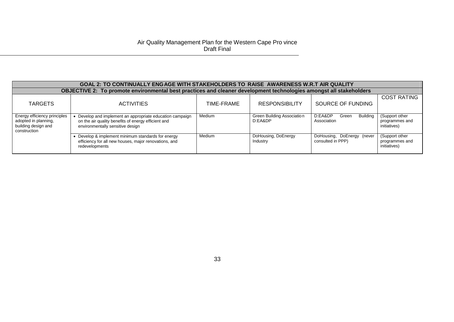|                                                                                             | GOAL 2: TO CONTINUALLY ENG AGE WITH STAKEHOLDERS TO RAISE AWARENESS W.R.T AIR QUALITY                                                              |            |                                       |                                                 |                                                  |  |  |  |  |
|---------------------------------------------------------------------------------------------|----------------------------------------------------------------------------------------------------------------------------------------------------|------------|---------------------------------------|-------------------------------------------------|--------------------------------------------------|--|--|--|--|
|                                                                                             | OBJECTIVE 2: To promote environmental best practices and cleaner development technologies amongst all stakeholders                                 |            |                                       |                                                 |                                                  |  |  |  |  |
| <b>TARGETS</b>                                                                              | <b>ACTIVITIES</b>                                                                                                                                  | TIME-FRAME | <b>RESPONSIBILITY</b>                 | SOURCE OF FUNDING                               | <b>COST RATING</b>                               |  |  |  |  |
| Energy efficiency principles<br>adopted in planning,<br>building design and<br>construction | Develop and implement an appropriate education campaign<br>on the air quality benefits of energy efficient and<br>environmentally sensitive design | Medium     | Green Building Association<br>D:EA&DP | Building<br>D:EA&DP<br>Green<br>Association     | (Support other<br>programmes and<br>initiatives) |  |  |  |  |
|                                                                                             | Develop & implement minimum standards for energy<br>efficiency for all new houses, major renovations, and<br>redevelopments                        | Medium     | DoHousing, DoEnergy<br>Industry       | DoHousing, DoEnergy (never<br>consulted in PPP) | (Support other<br>programmes and<br>initiatives) |  |  |  |  |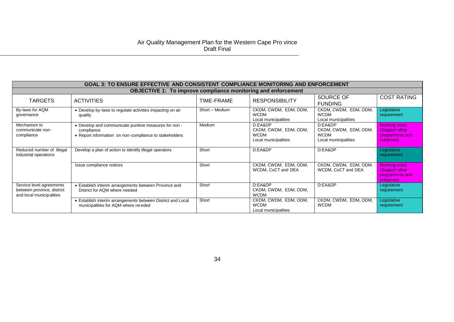| <b>GOAL 3: TO ENSURE EFFECTIVE AND CONSISTENT COMPLIANCE MONITORING AND ENFORCEMENT</b> |                                                                                                                               |                |                                                                         |                                                                         |                                                                                 |  |  |  |  |
|-----------------------------------------------------------------------------------------|-------------------------------------------------------------------------------------------------------------------------------|----------------|-------------------------------------------------------------------------|-------------------------------------------------------------------------|---------------------------------------------------------------------------------|--|--|--|--|
|                                                                                         | <b>OBJECTIVE 1: To improve compliance monitoring and enforcement</b>                                                          |                |                                                                         |                                                                         |                                                                                 |  |  |  |  |
| <b>TARGETS</b>                                                                          | <b>ACTIVITIES</b>                                                                                                             | TIME-FRAME     | <b>RESPONSIBILITY</b>                                                   | SOURCE OF<br><b>FUNDING</b>                                             | <b>COST RATING</b>                                                              |  |  |  |  |
| By-laws for AQM<br>governance                                                           | • Develop by-laws to regulate activities impacting on air<br>quality                                                          | Short - Medium | CKDM, CWDM, EDM, ODM,<br><b>WCDM</b><br>Local municipalities            | CKDM, CWDM, EDM, ODM,<br><b>WCDM</b><br>Local municipalities            | Legislative<br>requirement                                                      |  |  |  |  |
| Mechanism to<br>communicate non-<br>compliance                                          | • Develop and communicate punitive measures for non -<br>compliance<br>• Report information on non-compliance to stakeholders | Medium         | D:EA&DP<br>CKDM, CWDM, EDM, ODM,<br><b>WCDM</b><br>Local municipalities | D:EA&DP<br>CKDM, CWDM, EDM, ODM,<br><b>WCDM</b><br>Local municipalities | <b>Running costs</b><br>(Support other<br>programmes and<br><i>initiatives)</i> |  |  |  |  |
| Reduced number of illegal<br>industrial operations                                      | Develop a plan of action to identify illegal operators                                                                        | Short          | D:EA&DP                                                                 | D:EA&DP                                                                 | Legislative<br>requirement                                                      |  |  |  |  |
|                                                                                         | Issue compliance notices                                                                                                      | Short          | CKDM, CWDM, EDM, ODM,<br>WCDM, CoCT and DEA                             | CKDM, CWDM, EDM, ODM,<br>WCDM, CoCT and DEA                             | <b>Running costs</b><br>(Support other<br>programmes and<br><i>initiatives)</i> |  |  |  |  |
| Service level agreements<br>between province, district<br>and local municipalities      | • Establish interim arrangements between Province and<br>District for AQM where needed                                        | Short          | D:EA&DP<br>CKDM, CWDM, EDM, ODM,<br><b>WCDM</b>                         | D:EA&DP                                                                 | Legislative<br>requirement                                                      |  |  |  |  |
|                                                                                         | • Establish interim arrangements between District and Local<br>municipalities for AQM where needed                            | Short          | CKDM, CWDM, EDM, ODM,<br><b>WCDM</b><br>Local municipalities            | CKDM, CWDM, EDM, ODM,<br><b>WCDM</b>                                    | Legislative<br>requirement                                                      |  |  |  |  |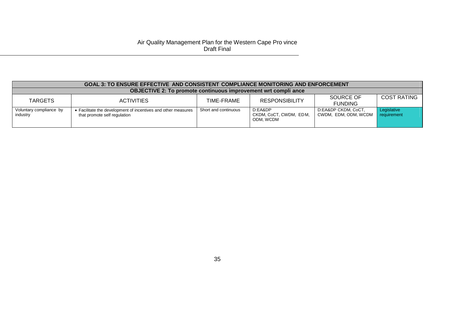| <b>GOAL 3: TO ENSURE EFFECTIVE AND CONSISTENT COMPLIANCE MONITORING AND ENFORCEMENT</b> |                                                                                               |                      |                                                |                                             |                            |  |  |  |
|-----------------------------------------------------------------------------------------|-----------------------------------------------------------------------------------------------|----------------------|------------------------------------------------|---------------------------------------------|----------------------------|--|--|--|
| <b>OBJECTIVE 2: To promote continuous improvement wrt compli ance</b>                   |                                                                                               |                      |                                                |                                             |                            |  |  |  |
| <b>TARGETS</b>                                                                          | <b>ACTIVITIES</b>                                                                             | TIME-FRAME           | <b>RESPONSIBILITY</b>                          | SOURCE OF<br><b>FUNDING</b>                 | COST RATING                |  |  |  |
| Voluntary compliance by<br>industry                                                     | • Facilitate the development of incentives and other measures<br>that promote self regulation | Short and continuous | D:EA&DP<br>CKDM, CoCT, CWDM, EDM,<br>ODM. WCDM | D:EA&DP CKDM, CoCT,<br>CWDM, EDM, ODM, WCDM | Legislative<br>requirement |  |  |  |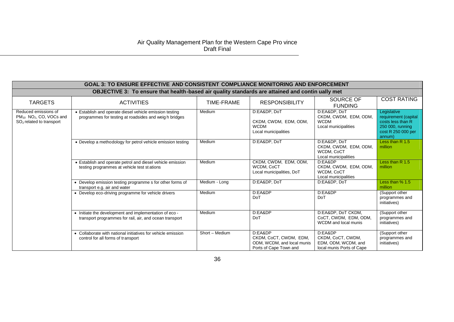| <b>GOAL 3: TO ENSURE EFFECTIVE AND CONSISTENT COMPLIANCE MONITORING AND ENFORCEMENT</b>                    |                                                                                                                   |                |                                                                                           |                                                                                  |                                                                                                              |  |  |  |  |
|------------------------------------------------------------------------------------------------------------|-------------------------------------------------------------------------------------------------------------------|----------------|-------------------------------------------------------------------------------------------|----------------------------------------------------------------------------------|--------------------------------------------------------------------------------------------------------------|--|--|--|--|
| OBJECTIVE 3: To ensure that health-based air quality standards are attained and contin ually met           |                                                                                                                   |                |                                                                                           |                                                                                  |                                                                                                              |  |  |  |  |
| <b>TARGETS</b>                                                                                             | <b>ACTIVITIES</b>                                                                                                 | TIME-FRAME     | <b>RESPONSIBILITY</b>                                                                     | SOURCE OF<br><b>FUNDING</b>                                                      | <b>COST RATING</b>                                                                                           |  |  |  |  |
| Reduced emissions of<br>$PM_{10}$ , NO <sub>2</sub> , CO, VOCs and<br>SO <sub>2</sub> related to transport | • Establish and operate diesel vehicle emission testing<br>programmes for testing at roadsides and weigh bridges  | Medium         | D:EA&DP. DoT<br>CKDM, CWDM, EDM, ODM,<br><b>WCDM</b><br>Local municipalities              | D:EA&DP, DoT<br>CKDM, CWDM, EDM, ODM,<br><b>WCDM</b><br>Local municipalities     | Legislative<br>requirement (capital<br>costs less than R<br>250 000, running<br>cost R 250 000 per<br>annum) |  |  |  |  |
|                                                                                                            | • Develop a methodology for petrol vehicle emission testing                                                       | Medium         | D:EA&DP, DoT                                                                              | D:EA&DP, DoT<br>CKDM, CWDM, EDM, ODM,<br>WCDM, CoCT<br>Local municipalities      | Less than R 1.5<br>million                                                                                   |  |  |  |  |
|                                                                                                            | • Establish and operate petrol and diesel vehicle emission<br>testing programmes at vehicle test st ations        | Medium         | CKDM, CWDM, EDM, ODM,<br>WCDM, CoCT<br>Local municipalities, DoT                          | D:EA&DP<br>CKDM, CWDM, EDM, ODM,<br>WCDM, CoCT<br>Local municipalities           | Less than R 1.5<br>million                                                                                   |  |  |  |  |
|                                                                                                            | • Develop emission testing programme s for other forms of<br>transport e.g. air and water                         | Medium - Long  | D:EA&DP. DoT                                                                              | D:EA&DP, DoT                                                                     | Less than $% 1.5$<br>million                                                                                 |  |  |  |  |
|                                                                                                            | • Develop eco-driving programme for vehicle drivers                                                               | Medium         | D:EA&DP<br>DoT                                                                            | D:EA&DP<br>DoT                                                                   | (Support other<br>programmes and<br>initiatives)                                                             |  |  |  |  |
|                                                                                                            | • Initiate the development and implementation of eco -<br>transport programmes for rail, air, and ocean transport | Medium         | D:EA&DP<br>DoT                                                                            | D:EA&DP, DoT CKDM,<br>CoCT, CWDM, EDM, ODM,<br>WCDM and local munis              | (Support other<br>programmes and<br>initiatives)                                                             |  |  |  |  |
|                                                                                                            | • Collaborate with national initiatives for vehicle emission<br>control for all forms of transport                | Short - Medium | D:EA&DP<br>CKDM, CoCT, CWDM, EDM,<br>ODM, WCDM, and local munis<br>Ports of Cape Town and | D:EA&DP<br>CKDM, CoCT, CWDM,<br>EDM, ODM, WCDM, and<br>local munis Ports of Cape | (Support other<br>programmes and<br>initiatives)                                                             |  |  |  |  |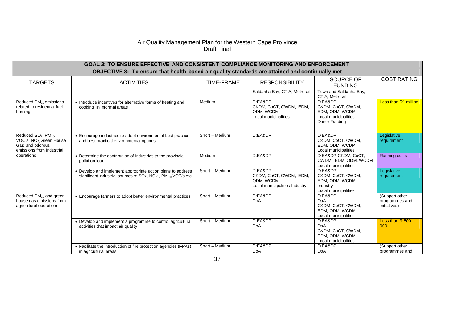| <b>GOAL 3: TO ENSURE EFFECTIVE AND CONSISTENT COMPLIANCE MONITORING AND ENFORCEMENT</b>                                            |                                                                                                                             |                |                                                                                 |                                                                                         |                                                  |  |  |  |
|------------------------------------------------------------------------------------------------------------------------------------|-----------------------------------------------------------------------------------------------------------------------------|----------------|---------------------------------------------------------------------------------|-----------------------------------------------------------------------------------------|--------------------------------------------------|--|--|--|
| OBJECTIVE 3: To ensure that health-based air quality standards are attained and contin ually met                                   |                                                                                                                             |                |                                                                                 |                                                                                         |                                                  |  |  |  |
| <b>TARGETS</b>                                                                                                                     | <b>ACTIVITIES</b>                                                                                                           | TIME-FRAME     | <b>RESPONSIBILITY</b>                                                           | SOURCE OF<br><b>FUNDING</b>                                                             | <b>COST RATING</b>                               |  |  |  |
|                                                                                                                                    |                                                                                                                             |                | Saldanha Bay, CTIA, Metrorail                                                   | Town and Saldanha Bay,<br>CTIA, Metrorail                                               |                                                  |  |  |  |
| Reduced PM <sub>10</sub> emissions<br>related to residential fuel<br>burning                                                       | • Introduce incentives for alternative forms of heating and<br>cooking in informal areas                                    | Medium         | D:EA&DP<br>CKDM, CoCT, CWDM, EDM,<br>ODM, WCDM<br>Local municipalities          | D:EA&DP<br>CKDM, CoCT, CWDM,<br>EDM, ODM, WCDM<br>Local municipalities<br>Donor Funding | Less than R1 million                             |  |  |  |
| Reduced SO <sub>2</sub> , PM <sub>10</sub> ,<br>VOC's, NO <sub>2</sub> Green House<br>Gas and odorous<br>emissions from industrial | • Encourage industries to adopt environmental best practice<br>and best practical environmental options                     | Short - Medium | D:EA&DP                                                                         | D:EA&DP<br>CKDM, CoCT, CWDM,<br>EDM, ODM, WCDM<br>Local municipalities                  | Legislative<br>requirement                       |  |  |  |
| operations                                                                                                                         | • Determine the contribution of industries to the provincial<br>pollution load                                              | Medium         | D:EA&DP                                                                         | D:EA&DP CKDM, CoCT,<br>CWDM, EDM, ODM, WCDM<br>Local municipalities                     | <b>Running costs</b>                             |  |  |  |
|                                                                                                                                    | • Develop and implement appropriate action plans to address<br>significant industrial sources of SOx, NOx, PM 10 VOC's etc. | Short - Medium | D:EA&DP<br>CKDM, CoCT, CWDM, EDM,<br>ODM. WCDM<br>Local municipalities Industry | D:EA&DP<br>CKDM, CoCT, CWDM,<br>EDM, ODM, WCDM<br>Industry<br>Local municipalities      | Legislative<br>requirement                       |  |  |  |
| Reduced PM <sub>10</sub> and green<br>house gas emissions from<br>agricultural operations                                          | • Encourage farmers to adopt better environmental practices                                                                 | Short - Medium | D:EA&DP<br><b>DoA</b>                                                           | D:EA&DP<br><b>DoA</b><br>CKDM, CoCT, CWDM,<br>EDM, ODM, WCDM<br>Local municipalities    | (Support other<br>programmes and<br>initiatives) |  |  |  |
|                                                                                                                                    | • Develop and implement a programme to control agricultural<br>activities that impact air quality                           | Short - Medium | D:EA&DP<br><b>DoA</b>                                                           | D:EA&DP<br><b>DoA</b><br>CKDM, CoCT, CWDM,<br>EDM, ODM, WCDM<br>Local municipalities    | Less than R 500<br>000                           |  |  |  |
|                                                                                                                                    | • Facilitate the introduction of fire protection agencies (FPAs)<br>in agricultural areas                                   | Short - Medium | D:EA&DP<br><b>DoA</b>                                                           | D:EA&DP<br><b>DoA</b>                                                                   | (Support other<br>programmes and                 |  |  |  |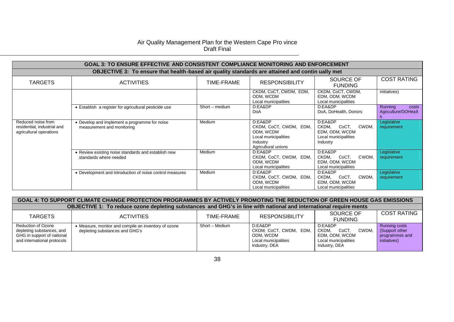| <b>GOAL 3: TO ENSURE EFFECTIVE AND CONSISTENT COMPLIANCE MONITORING AND ENFORCEMENT</b> |                                                                                                  |                |                                                                                                           |                                                                                    |                                         |  |
|-----------------------------------------------------------------------------------------|--------------------------------------------------------------------------------------------------|----------------|-----------------------------------------------------------------------------------------------------------|------------------------------------------------------------------------------------|-----------------------------------------|--|
|                                                                                         | OBJECTIVE 3: To ensure that health-based air quality standards are attained and contin ually met |                |                                                                                                           |                                                                                    |                                         |  |
| <b>TARGETS</b>                                                                          | <b>ACTIVITIES</b>                                                                                | TIME-FRAME     | <b>RESPONSIBILITY</b>                                                                                     | SOURCE OF<br><b>FUNDING</b>                                                        | <b>COST RATING</b>                      |  |
|                                                                                         |                                                                                                  |                | CKDM, CoCT, CWDM, EDM,<br>ODM, WCDM<br>Local municipalities                                               | CKDM, CoCT, CWDM,<br>EDM, ODM, WCDM<br>Local municipalities                        | initiatives)                            |  |
|                                                                                         | • Establish a register for agricultural pesticide use                                            | Short - medium | D:EA&DP<br><b>DoA</b>                                                                                     | D:EA&DP<br>DoA, DoHealth, Donors                                                   | Running<br>costs<br>Agriculture/DOHealt |  |
| Reduced noise from<br>residential, industrial and<br>agricultural operations            | • Develop and implement a programme for noise<br>measurement and monitoring                      | Medium         | D:EA&DP<br>CKDM, CoCT, CWDM, EDM,<br>ODM. WCDM<br>Local municipalities<br>Industry<br>Agricultural unions | D:EA&DP<br>CKDM, CoCT, CWDM,<br>EDM, ODM, WCDM<br>Local municipalities<br>Industry | Legislative<br>requirement              |  |
|                                                                                         | • Review existing noise standards and establish new<br>standards where needed                    | Medium         | D:EA&DP<br>CKDM, CoCT, CWDM, EDM,<br>ODM, WCDM<br>Local municipalities                                    | D:EA&DP<br>CoCT, CWDM,<br>CKDM,<br>EDM, ODM, WCDM<br>Local municipalities          | Legislative<br>requirement              |  |
|                                                                                         | • Development and introduction of noise control measures                                         | <b>Medium</b>  | D:EA&DP<br>CKDM, CoCT, CWDM, EDM,<br>ODM, WCDM<br>Local municipalities                                    | D:EA&DP<br>CKDM, CoCT, CWDM,<br>EDM, ODM, WCDM<br>Local municipalities             | Legislative<br>requirement              |  |

| GOAL 4: TO SUPPORT CLIMATE CHANGE PROTECTION PROGRAMMES BY ACTIVELY PROMOTING THE REDUCTION OF GREEN HOUSE GAS EMISSIONS |                                                                                                                   |                |                                                                                         |                                                                                               |                                                                          |
|--------------------------------------------------------------------------------------------------------------------------|-------------------------------------------------------------------------------------------------------------------|----------------|-----------------------------------------------------------------------------------------|-----------------------------------------------------------------------------------------------|--------------------------------------------------------------------------|
|                                                                                                                          | OBJECTIVE 1: To reduce ozone depleting substances and GHG's in line with national and international require ments |                |                                                                                         |                                                                                               |                                                                          |
| <b>TARGETS</b>                                                                                                           | <b>ACTIVITIES</b>                                                                                                 | TIME-FRAME     | <b>RESPONSIBILITY</b>                                                                   | SOURCE OF<br><b>FUNDING</b>                                                                   | <b>COST RATING</b>                                                       |
| Reduction of Ozone<br>depleting substances, and<br>GHG in support of national<br>and international protocols             | • Measure, monitor and compile an inventory of ozone<br>depleting substances and GHG's                            | Short - Medium | D:EA&DP<br>CKDM, CoCT, CWDM, EDM,<br>ODM, WCDM<br>Local municipalities<br>Industry, DEA | D:EA&DP<br>CKDM.<br>CoCT.<br>CWDM.<br>EDM, ODM, WCDM<br>Local municipalities<br>Industry, DEA | <b>Running costs</b><br>(Support other<br>programmes and<br>initiatives) |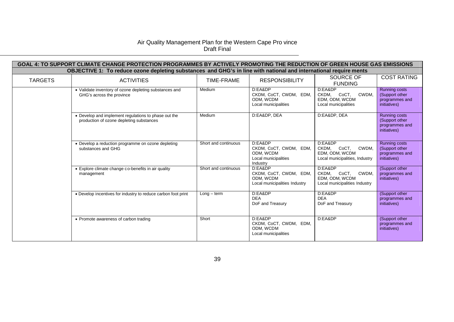|                | GOAL 4: TO SUPPORT CLIMATE CHANGE PROTECTION PROGRAMMES BY ACTIVELY PROMOTING THE REDUCTION OF GREEN HOUSE GAS EMISSIONS |                      |                                                                                    |                                                                                        |                                                                          |
|----------------|--------------------------------------------------------------------------------------------------------------------------|----------------------|------------------------------------------------------------------------------------|----------------------------------------------------------------------------------------|--------------------------------------------------------------------------|
|                | OBJECTIVE 1: To reduce ozone depleting substances and GHG's in line with national and international require ments        |                      |                                                                                    |                                                                                        |                                                                          |
| <b>TARGETS</b> | <b>ACTIVITIES</b>                                                                                                        | TIME-FRAME           | <b>RESPONSIBILITY</b>                                                              | SOURCE OF<br><b>FUNDING</b>                                                            | <b>COST RATING</b>                                                       |
|                | • Validate inventory of ozone depleting substances and<br>GHG's across the province                                      | Medium               | D:EA&DP<br>CKDM, CoCT, CWDM, EDM,<br>ODM, WCDM<br>Local municipalities             | D:EA&DP<br>CoCT, CWDM,<br>CKDM,<br>EDM, ODM, WCDM<br>Local municipalities              | <b>Running costs</b><br>(Support other<br>programmes and<br>initiatives) |
|                | • Develop and implement regulations to phase out the<br>production of ozone depleting substances                         | Medium               | D:EA&DP, DEA                                                                       | D:EA&DP, DEA                                                                           | <b>Running costs</b><br>(Support other<br>programmes and<br>initiatives) |
|                | • Develop a reduction programme on ozone depleting<br>substances and GHG                                                 | Short and continuous | D:EA&DP<br>CKDM, CoCT, CWDM, EDM,<br>ODM. WCDM<br>Local municipalities<br>Industry | D:EA&DP<br>CKDM,<br>CoCT.<br>CWDM.<br>EDM. ODM. WCDM<br>Local municipalities, Industry | <b>Running costs</b><br>(Support other<br>programmes and<br>initiatives) |
|                | • Explore climate change co-benefits in air quality<br>management                                                        | Short and continuous | D:EA&DP<br>CKDM, CoCT, CWDM, EDM,<br>ODM. WCDM<br>Local municipalities Industry    | D:EA&DP<br>CKDM, CoCT,<br>CWDM.<br>EDM. ODM. WCDM<br>Local municipalities Industry     | (Support other<br>programmes and<br><i>initiatives)</i>                  |
|                | • Develop incentives for industry to reduce carbon foot print                                                            | $Long - term$        | D:EA&DP<br><b>DEA</b><br>DoF and Treasury                                          | D:EA&DP<br><b>DEA</b><br>DoF and Treasury                                              | (Support other<br>programmes and<br>initiatives)                         |
|                | • Promote awareness of carbon trading                                                                                    | Short                | D:EA&DP<br>CKDM, CoCT, CWDM, EDM,<br>ODM. WCDM<br>Local municipalities             | D:EA&DP                                                                                | (Support other<br>programmes and<br>initiatives)                         |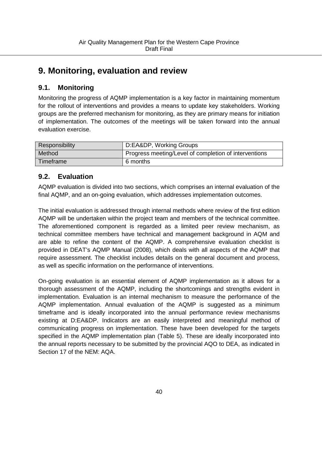# **9. Monitoring, evaluation and review**

# **9.1. Monitoring**

Monitoring the progress of AQMP implementation is a key factor in maintaining momentum for the rollout of interventions and provides a means to update key stakeholders. Working groups are the preferred mechanism for monitoring, as they are primary means for initiation of implementation. The outcomes of the meetings will be taken forward into the annual evaluation exercise.

| Responsibility | D:EA&DP, Working Groups                               |
|----------------|-------------------------------------------------------|
| Method         | Progress meeting/Level of completion of interventions |
| Timeframe      | 6 months                                              |

# **9.2. Evaluation**

AQMP evaluation is divided into two sections, which comprises an internal evaluation of the final AQMP, and an on-going evaluation, which addresses implementation outcomes.

The initial evaluation is addressed through internal methods where review of the first edition AQMP will be undertaken within the project team and members of the technical committee. The aforementioned component is regarded as a limited peer review mechanism, as technical committee members have technical and management background in AQM and are able to refine the content of the AQMP. A comprehensive evaluation checklist is provided in DEAT's AQMP Manual (2008), which deals with all aspects of the AQMP that require assessment. The checklist includes details on the general document and process, as well as specific information on the performance of interventions.

On-going evaluation is an essential element of AQMP implementation as it allows for a thorough assessment of the AQMP, including the shortcomings and strengths evident in implementation. Evaluation is an internal mechanism to measure the performance of the AQMP implementation. Annual evaluation of the AQMP is suggested as a minimum timeframe and is ideally incorporated into the annual performance review mechanisms existing at D:EA&DP. Indicators are an easily interpreted and meaningful method of communicating progress on implementation. These have been developed for the targets specified in the AQMP implementation plan (Table 5). These are ideally incorporated into the annual reports necessary to be submitted by the provincial AQO to DEA, as indicated in Section 17 of the NEM: AQA.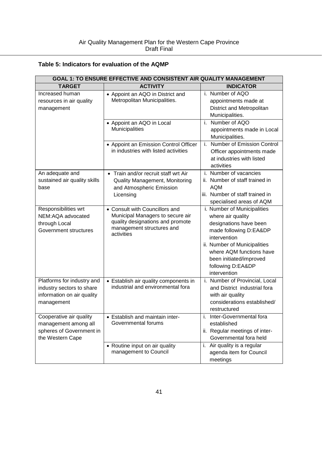### **Table 5: Indicators for evaluation of the AQMP**

| GOAL 1: TO ENSURE EFFECTIVE AND CONSISTENT AIR QUALITY MANAGEMENT                                   |                                                                                                                                                   |                                                                                                                                                                                                                                                  |  |  |
|-----------------------------------------------------------------------------------------------------|---------------------------------------------------------------------------------------------------------------------------------------------------|--------------------------------------------------------------------------------------------------------------------------------------------------------------------------------------------------------------------------------------------------|--|--|
| <b>TARGET</b>                                                                                       | <b>ACTIVITY</b>                                                                                                                                   | <b>INDICATOR</b>                                                                                                                                                                                                                                 |  |  |
| Increased human<br>resources in air quality<br>management                                           | • Appoint an AQO in District and<br>Metropolitan Municipalities.                                                                                  | i. Number of AQO<br>appointments made at<br>District and Metropolitan<br>Municipalities.                                                                                                                                                         |  |  |
|                                                                                                     | • Appoint an AQO in Local<br>Municipalities                                                                                                       | Number of AQO<br>i.<br>appointments made in Local<br>Municipalities.                                                                                                                                                                             |  |  |
|                                                                                                     | • Appoint an Emission Control Officer<br>in industries with listed activities                                                                     | <b>Number of Emission Control</b><br>i.<br>Officer appointments made<br>at industries with listed<br>activities                                                                                                                                  |  |  |
| An adequate and<br>sustained air quality skills<br>base                                             | Train and/or recruit staff wrt Air<br>Quality Management, Monitoring<br>and Atmospheric Emission<br>Licensing                                     | Number of vacancies<br>ii. Number of staff trained in<br><b>AQM</b><br>iii. Number of staff trained in<br>specialised areas of AQM                                                                                                               |  |  |
| Responsibilities wrt<br>NEM:AQA advocated<br>through Local<br>Government structures                 | • Consult with Councillors and<br>Municipal Managers to secure air<br>quality designations and promote<br>management structures and<br>activities | i. Number of Municipalities<br>where air quality<br>designations have been<br>made following D:EA&DP<br>intervention<br>ii. Number of Municipalities<br>where AQM functions have<br>been initiated/improved<br>following D:EA&DP<br>intervention |  |  |
| Platforms for industry and<br>industry sectors to share<br>information on air quality<br>management | • Establish air quality components in<br>industrial and environmental fora                                                                        | i. Number of Provincial, Local<br>and District industrial fora<br>with air quality<br>considerations established/<br>restructured                                                                                                                |  |  |
| Cooperative air quality<br>management among all<br>spheres of Government in<br>the Western Cape     | Establish and maintain inter-<br>Governmental forums                                                                                              | Inter-Governmental fora<br>established<br>ii. Regular meetings of inter-<br>Governmental fora held                                                                                                                                               |  |  |
|                                                                                                     | • Routine input on air quality<br>management to Council                                                                                           | i. Air quality is a regular<br>agenda item for Council<br>meetings                                                                                                                                                                               |  |  |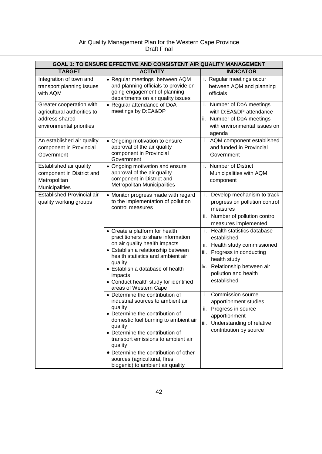|                                                                                                                                                                           | GOAL 1: TO ENSURE EFFECTIVE AND CONSISTENT AIR QUALITY MANAGEMENT                                                                                                                                                                                                                                                                                                       |                                                                                                                                                                                                     |
|---------------------------------------------------------------------------------------------------------------------------------------------------------------------------|-------------------------------------------------------------------------------------------------------------------------------------------------------------------------------------------------------------------------------------------------------------------------------------------------------------------------------------------------------------------------|-----------------------------------------------------------------------------------------------------------------------------------------------------------------------------------------------------|
| <b>TARGET</b>                                                                                                                                                             | <b>ACTIVITY</b>                                                                                                                                                                                                                                                                                                                                                         | <b>INDICATOR</b>                                                                                                                                                                                    |
| Integration of town and<br>transport planning issues<br>with AQM<br>Greater cooperation with<br>agricultural authorities to<br>address shared<br>environmental priorities | • Regular meetings between AQM<br>and planning officials to provide on-<br>going engagement of planning<br>departments on air quality issues<br>• Regular attendance of DoA<br>meetings by D:EA&DP                                                                                                                                                                      | i. Regular meetings occur<br>between AQM and planning<br>officials<br>i. Number of DoA meetings<br>with D:EA&DP attendance<br>ii. Number of DoA meetings<br>with environmental issues on            |
| An established air quality<br>component in Provincial<br>Government                                                                                                       | • Ongoing motivation to ensure<br>approval of the air quality<br>component in Provincial<br>Government                                                                                                                                                                                                                                                                  | agenda<br>i. AQM component established<br>and funded in Provincial<br>Government                                                                                                                    |
| Established air quality<br>component in District and<br>Metropolitan<br>Municipalities                                                                                    | • Ongoing motivation and ensure<br>approval of the air quality<br>component in District and<br><b>Metropolitan Municipalities</b>                                                                                                                                                                                                                                       | i. Number of District<br>Municipalities with AQM<br>component                                                                                                                                       |
| <b>Established Provincial air</b><br>quality working groups                                                                                                               | • Monitor progress made with regard<br>to the implementation of pollution<br>control measures                                                                                                                                                                                                                                                                           | i. Develop mechanism to track<br>progress on pollution control<br>measures<br>ii. Number of pollution control<br>measures implemented                                                               |
|                                                                                                                                                                           | • Create a platform for health<br>practitioners to share information<br>on air quality health impacts<br>• Establish a relationship between<br>health statistics and ambient air<br>quality<br>• Establish a database of health<br>impacts<br>• Conduct health study for identified<br>areas of Western Cape                                                            | i. Health statistics database<br>established<br>ii. Health study commissioned<br>iii. Progress in conducting<br>health study<br>iv. Relationship between air<br>pollution and health<br>established |
|                                                                                                                                                                           | • Determine the contribution of<br>industrial sources to ambient air<br>quality<br>• Determine the contribution of<br>domestic fuel burning to ambient air<br>quality<br>• Determine the contribution of<br>transport emissions to ambient air<br>quality<br>• Determine the contribution of other<br>sources (agricultural, fires,<br>biogenic) to ambient air quality | i. Commission source<br>apportionment studies<br>ii. Progress in source<br>apportionment<br>iii. Understanding of relative<br>contribution by source                                                |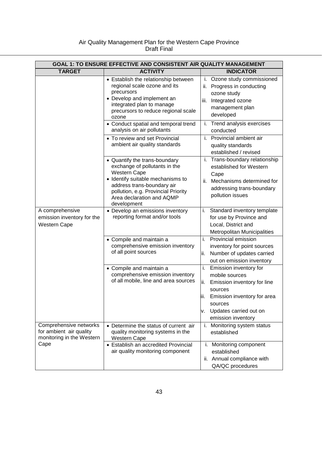| GOAL 1: TO ENSURE EFFECTIVE AND CONSISTENT AIR QUALITY MANAGEMENT              |                                                                                                                                                                                                                                      |                                                                                                                                                                                                         |  |
|--------------------------------------------------------------------------------|--------------------------------------------------------------------------------------------------------------------------------------------------------------------------------------------------------------------------------------|---------------------------------------------------------------------------------------------------------------------------------------------------------------------------------------------------------|--|
| <b>TARGET</b>                                                                  | <b>ACTIVITY</b>                                                                                                                                                                                                                      | <b>INDICATOR</b>                                                                                                                                                                                        |  |
|                                                                                | • Establish the relationship between<br>regional scale ozone and its<br>precursors<br>• Develop and implement an<br>integrated plan to manage<br>precursors to reduce regional scale<br>ozone                                        | Ozone study commissioned<br>i.<br>Progress in conducting<br>ii.<br>ozone study<br>iii. Integrated ozone<br>management plan<br>developed                                                                 |  |
|                                                                                | • Conduct spatial and temporal trend<br>analysis on air pollutants                                                                                                                                                                   | Trend analysis exercises<br>i.<br>conducted                                                                                                                                                             |  |
|                                                                                | • To review and set Provincial<br>ambient air quality standards                                                                                                                                                                      | i. Provincial ambient air<br>quality standards<br>established / revised                                                                                                                                 |  |
|                                                                                | • Quantify the trans-boundary<br>exchange of pollutants in the<br>Western Cape<br>• Identify suitable mechanisms to<br>address trans-boundary air<br>pollution, e.g. Provincial Priority<br>Area declaration and AQMP<br>development | i. Trans-boundary relationship<br>established for Western<br>Cape<br>ii. Mechanisms determined for<br>addressing trans-boundary<br>pollution issues                                                     |  |
| A comprehensive<br>emission inventory for the<br>Western Cape                  | • Develop an emissions inventory<br>reporting format and/or tools                                                                                                                                                                    | i.<br>Standard inventory template<br>for use by Province and<br>Local, District and<br><b>Metropolitan Municipalities</b>                                                                               |  |
|                                                                                | • Compile and maintain a<br>comprehensive emission inventory<br>of all point sources                                                                                                                                                 | i.<br>Provincial emission<br>inventory for point sources<br>Number of updates carried<br>ii.<br>out on emission inventory                                                                               |  |
|                                                                                | • Compile and maintain a<br>comprehensive emission inventory<br>of all mobile, line and area sources                                                                                                                                 | Emission inventory for<br>i.<br>mobile sources<br>ii.<br>Emission inventory for line<br>sources<br>Emission inventory for area<br>lii.<br>sources<br>Updates carried out on<br>ν.<br>emission inventory |  |
| Comprehensive networks<br>for ambient air quality<br>monitoring in the Western | • Determine the status of current air<br>quality monitoring systems in the<br>Western Cape                                                                                                                                           | i. Monitoring system status<br>established                                                                                                                                                              |  |
| Cape                                                                           | • Establish an accredited Provincial<br>air quality monitoring component                                                                                                                                                             | i. Monitoring component<br>established<br>ii. Annual compliance with<br>QA/QC procedures                                                                                                                |  |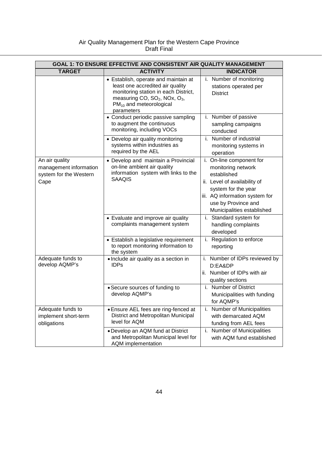| GOAL 1: TO ENSURE EFFECTIVE AND CONSISTENT AIR QUALITY MANAGEMENT          |                                                                                                                                                                                                                                |                                                                                                                                                                                                             |  |
|----------------------------------------------------------------------------|--------------------------------------------------------------------------------------------------------------------------------------------------------------------------------------------------------------------------------|-------------------------------------------------------------------------------------------------------------------------------------------------------------------------------------------------------------|--|
| <b>TARGET</b>                                                              | <b>ACTIVITY</b>                                                                                                                                                                                                                | <b>INDICATOR</b>                                                                                                                                                                                            |  |
|                                                                            | • Establish, operate and maintain at<br>least one accredited air quality<br>monitoring station in each District,<br>measuring CO, SO <sub>2</sub> , NOx, O <sub>3</sub> ,<br>PM <sub>10</sub> and meteorological<br>parameters | i. Number of monitoring<br>stations operated per<br><b>District</b>                                                                                                                                         |  |
|                                                                            | • Conduct periodic passive sampling<br>to augment the continuous<br>monitoring, including VOCs                                                                                                                                 | i. Number of passive<br>sampling campaigns<br>conducted                                                                                                                                                     |  |
|                                                                            | • Develop air quality monitoring<br>systems within industries as<br>required by the AEL                                                                                                                                        | i. Number of industrial<br>monitoring systems in<br>operation                                                                                                                                               |  |
| An air quality<br>management information<br>system for the Western<br>Cape | • Develop and maintain a Provincial<br>on-line ambient air quality<br>information system with links to the<br><b>SAAQIS</b>                                                                                                    | i. On-line component for<br>monitoring network<br>established<br>ii. Level of availability of<br>system for the year<br>iii. AQ information system for<br>use by Province and<br>Municipalities established |  |
|                                                                            | • Evaluate and improve air quality<br>complaints management system                                                                                                                                                             | i. Standard system for<br>handling complaints<br>developed                                                                                                                                                  |  |
|                                                                            | • Establish a legislative requirement<br>to report monitoring information to<br>the system                                                                                                                                     | i. Regulation to enforce<br>reporting                                                                                                                                                                       |  |
| Adequate funds to<br>develop AQMP's                                        | • Include air quality as a section in<br><b>IDPs</b>                                                                                                                                                                           | i. Number of IDPs reviewed by<br>D:EA&DP<br>ii. Number of IDPs with air<br>quality sections                                                                                                                 |  |
|                                                                            | • Secure sources of funding to<br>develop AQMP's                                                                                                                                                                               | i. Number of District<br>Municipalities with funding<br>for AQMP's                                                                                                                                          |  |
| Adequate funds to<br>implement short-term<br>obligations                   | • Ensure AEL fees are ring-fenced at<br>District and Metropolitan Municipal<br>level for AQM                                                                                                                                   | i. Number of Municipalities<br>with demarcated AQM<br>funding from AEL fees                                                                                                                                 |  |
|                                                                            | • Develop an AQM fund at District<br>and Metropolitan Municipal level for<br><b>AQM</b> implementation                                                                                                                         | i. Number of Municipalities<br>with AQM fund established                                                                                                                                                    |  |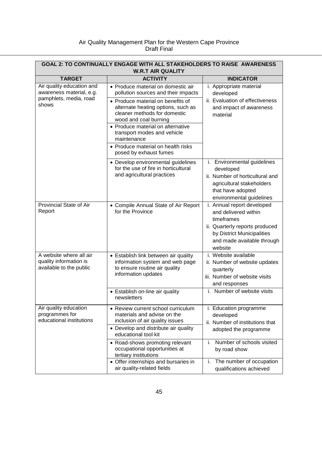| GOAL 2: TO CONTINUALLY ENGAGE WITH ALL STAKEHOLDERS TO RAISE AWARENESS<br><b>W.R.T AIR QUALITY</b> |                                                                                                                                                                                                                                                                                                                                        |                                                                                                                                                                           |  |
|----------------------------------------------------------------------------------------------------|----------------------------------------------------------------------------------------------------------------------------------------------------------------------------------------------------------------------------------------------------------------------------------------------------------------------------------------|---------------------------------------------------------------------------------------------------------------------------------------------------------------------------|--|
| <b>TARGET</b>                                                                                      | <b>ACTIVITY</b>                                                                                                                                                                                                                                                                                                                        | <b>INDICATOR</b>                                                                                                                                                          |  |
| Air quality education and<br>awareness material, e.g.<br>pamphlets, media, road<br>shows           | • Produce material on domestic air<br>pollution sources and their impacts<br>• Produce material on benefits of<br>alternate heating options, such as<br>cleaner methods for domestic<br>wood and coal burning<br>• Produce material on alternative<br>transport modes and vehicle<br>maintenance<br>• Produce material on health risks | i. Appropriate material<br>developed<br>ii. Evaluation of effectiveness<br>and impact of awareness<br>material                                                            |  |
|                                                                                                    | posed by exhaust fumes<br>• Develop environmental guidelines<br>for the use of fire in horticultural<br>and agricultural practices                                                                                                                                                                                                     | i. Environmental guidelines<br>developed<br>ii. Number of horticultural and<br>agricultural stakeholders<br>that have adopted<br>environmental guidelines                 |  |
| Provincial State of Air<br>Report                                                                  | • Compile Annual State of Air Report<br>for the Province                                                                                                                                                                                                                                                                               | i. Annual report developed<br>and delivered within<br>timeframes<br>ii. Quarterly reports produced<br>by District Municipalities<br>and made available through<br>website |  |
| A website where all air<br>quality information is<br>available to the public                       | • Establish link between air quality<br>information system and web page<br>to ensure routine air quality<br>information updates                                                                                                                                                                                                        | i. Website available<br>ii. Number of website updates<br>quarterly<br>iii. Number of website visits<br>and responses                                                      |  |
|                                                                                                    | • Establish on-line air quality<br>newsletters                                                                                                                                                                                                                                                                                         | i. Number of website visits                                                                                                                                               |  |
| Air quality education<br>programmes for<br>educational institutions                                | • Review current school curriculum<br>materials and advise on the<br>inclusion of air quality issues<br>• Develop and distribute air quality<br>educational tool kit                                                                                                                                                                   | i. Education programme<br>developed<br>ii. Number of institutions that<br>adopted the programme                                                                           |  |
|                                                                                                    | • Road-shows promoting relevant<br>occupational opportunities at<br>tertiary institutions                                                                                                                                                                                                                                              | Number of schools visited<br>i.<br>by road show                                                                                                                           |  |
|                                                                                                    | • Offer internships and bursaries in<br>air quality-related fields                                                                                                                                                                                                                                                                     | The number of occupation<br>i.<br>qualifications achieved                                                                                                                 |  |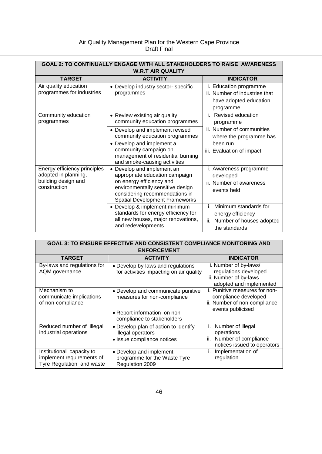| <b>GOAL 2: TO CONTINUALLY ENGAGE WITH ALL STAKEHOLDERS TO RAISE AWARENESS</b><br><b>W.R.T AIR QUALITY</b> |                                                                                                                                                                                                         |                                                                                                      |  |  |
|-----------------------------------------------------------------------------------------------------------|---------------------------------------------------------------------------------------------------------------------------------------------------------------------------------------------------------|------------------------------------------------------------------------------------------------------|--|--|
| <b>TARGET</b>                                                                                             | <b>ACTIVITY</b>                                                                                                                                                                                         | <b>INDICATOR</b>                                                                                     |  |  |
| Air quality education<br>programmes for industries                                                        | • Develop industry sector- specific<br>programmes                                                                                                                                                       | i. Education programme<br>ii. Number of industries that<br>have adopted education<br>programme       |  |  |
| Community education<br>programmes                                                                         | • Review existing air quality<br>community education programmes                                                                                                                                         | i. Revised education<br>programme                                                                    |  |  |
|                                                                                                           | • Develop and implement revised<br>community education programmes                                                                                                                                       | ii. Number of communities<br>where the programme has                                                 |  |  |
|                                                                                                           | • Develop and implement a<br>community campaign on<br>management of residential burning<br>and smoke-causing activities                                                                                 | been run<br>iii. Evaluation of impact                                                                |  |  |
| Energy efficiency principles<br>adopted in planning,<br>building design and<br>construction               | • Develop and implement an<br>appropriate education campaign<br>on energy efficiency and<br>environmentally sensitive design<br>considering recommendations in<br><b>Spatial Development Frameworks</b> | i. Awareness programme<br>developed<br>ii. Number of awareness<br>events held                        |  |  |
|                                                                                                           | • Develop & implement minimum<br>standards for energy efficiency for<br>all new houses, major renovations,<br>and redevelopments                                                                        | Minimum standards for<br>i.<br>energy efficiency<br>Number of houses adopted<br>ii.<br>the standards |  |  |

| GOAL 3: TO ENSURE EFFECTIVE AND CONSISTENT COMPLIANCE MONITORING AND<br><b>ENFORCEMENT</b> |                                                                                         |                                                                                                                   |  |
|--------------------------------------------------------------------------------------------|-----------------------------------------------------------------------------------------|-------------------------------------------------------------------------------------------------------------------|--|
| <b>TARGET</b>                                                                              | <b>ACTIVITY</b>                                                                         | <b>INDICATOR</b>                                                                                                  |  |
| By-laws and regulations for<br>AQM governance                                              | • Develop by-laws and regulations<br>for activities impacting on air quality            | i. Number of by-laws/<br>regulations developed<br>ii. Number of by-laws<br>adopted and implemented                |  |
| Mechanism to<br>communicate implications<br>of non-compliance                              | • Develop and communicate punitive<br>measures for non-compliance                       | <i>i.</i> Punitive measures for non-<br>compliance developed<br>ii. Number of non-compliance<br>events publicised |  |
|                                                                                            | • Report information on non-<br>compliance to stakeholders                              |                                                                                                                   |  |
| Reduced number of illegal<br>industrial operations                                         | • Develop plan of action to identify<br>illegal operators<br>• Issue compliance notices | Number of illegal<br>i.<br>operations<br>Number of compliance<br>ii.<br>notices issued to operators               |  |
| Institutional capacity to<br>implement requirements of<br>Tyre Regulation and waste        | • Develop and implement<br>programme for the Waste Tyre<br>Regulation 2009              | Implementation of<br>regulation                                                                                   |  |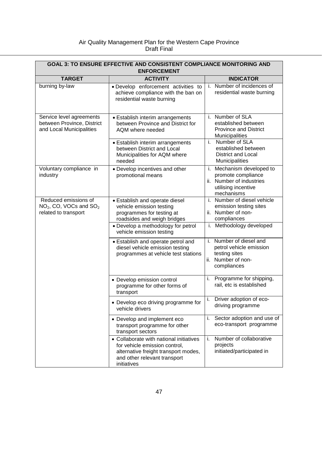| <b>GOAL 3: TO ENSURE EFFECTIVE AND CONSISTENT COMPLIANCE MONITORING AND</b><br><b>ENFORCEMENT</b> |                                                                                                                                                                 |                                                                                                                  |  |
|---------------------------------------------------------------------------------------------------|-----------------------------------------------------------------------------------------------------------------------------------------------------------------|------------------------------------------------------------------------------------------------------------------|--|
| <b>TARGET</b>                                                                                     | <b>ACTIVITY</b>                                                                                                                                                 | <b>INDICATOR</b>                                                                                                 |  |
| burning by-law                                                                                    | · Develop enforcement activities to<br>achieve compliance with the ban on<br>residential waste burning                                                          | i. Number of incidences of<br>residential waste burning                                                          |  |
| Service level agreements<br>between Province, District<br>and Local Municipalities                | • Establish interim arrangements<br>between Province and District for<br>AQM where needed                                                                       | i. Number of SLA<br>established between<br><b>Province and District</b><br>Municipalities                        |  |
|                                                                                                   | • Establish interim arrangements<br>between District and Local<br>Municipalities for AQM where<br>needed                                                        | i. Number of SLA<br>established between<br><b>District and Local</b><br>Municipalities                           |  |
| Voluntary compliance in<br>industry                                                               | • Develop incentives and other<br>promotional means                                                                                                             | i. Mechanism developed to<br>promote compliance<br>ii. Number of industries<br>utilising incentive<br>mechanisms |  |
| Reduced emissions of<br>NO <sub>2</sub> , CO, VOCs and SO <sub>2</sub><br>related to transport    | • Establish and operate diesel<br>vehicle emission testing<br>programmes for testing at<br>roadsides and weigh bridges                                          | i. Number of diesel vehicle<br>emission testing sites<br>ii. Number of non-<br>compliances                       |  |
|                                                                                                   | • Develop a methodology for petrol<br>vehicle emission testing                                                                                                  | i. Methodology developed                                                                                         |  |
|                                                                                                   | • Establish and operate petrol and<br>diesel vehicle emission testing<br>programmes at vehicle test stations                                                    | i. Number of diesel and<br>petrol vehicle emission<br>testing sites<br>ii. Number of non-<br>compliances         |  |
|                                                                                                   | • Develop emission control<br>programme for other forms of<br>transport                                                                                         | Programme for shipping,<br>i.<br>rail, etc is established                                                        |  |
|                                                                                                   | • Develop eco driving programme for<br>vehicle drivers                                                                                                          | Driver adoption of eco-<br>j.<br>driving programme                                                               |  |
|                                                                                                   | • Develop and implement eco<br>transport programme for other<br>transport sectors                                                                               | Sector adoption and use of<br>i.<br>eco-transport programme                                                      |  |
|                                                                                                   | • Collaborate with national initiatives<br>for vehicle emission control,<br>alternative freight transport modes,<br>and other relevant transport<br>initiatives | Number of collaborative<br>i.<br>projects<br>initiated/participated in                                           |  |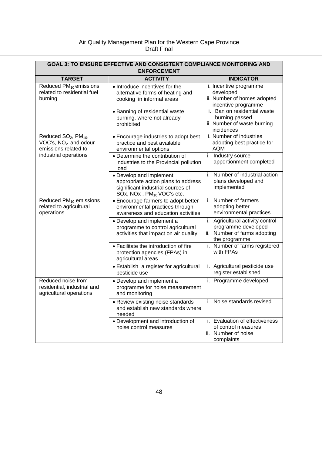| <b>GOAL 3: TO ENSURE EFFECTIVE AND CONSISTENT COMPLIANCE MONITORING AND</b><br><b>ENFORCEMENT</b>                                 |                                                                                                                                              |                                                                                                             |  |  |  |  |
|-----------------------------------------------------------------------------------------------------------------------------------|----------------------------------------------------------------------------------------------------------------------------------------------|-------------------------------------------------------------------------------------------------------------|--|--|--|--|
| <b>TARGET</b>                                                                                                                     | <b>ACTIVITY</b>                                                                                                                              | <b>INDICATOR</b>                                                                                            |  |  |  |  |
| Reduced PM <sub>10</sub> emissions<br>related to residential fuel<br>burning                                                      | • Introduce incentives for the<br>alternative forms of heating and<br>cooking in informal areas                                              | i. Incentive programme<br>developed<br>ii. Number of homes adopted<br>incentive programme                   |  |  |  |  |
|                                                                                                                                   | • Banning of residential waste<br>burning, where not already<br>prohibited                                                                   | i. Ban on residential waste<br>burning passed<br>ii. Number of waste burning<br>incidences                  |  |  |  |  |
| Reduced SO <sub>2</sub> , PM <sub>10</sub> ,<br>VOC's, NO <sub>2</sub> and odour<br>emissions related to<br>industrial operations | • Encourage industries to adopt best<br>practice and best available<br>environmental options                                                 | i. Number of industries<br>adopting best practice for<br><b>AQM</b>                                         |  |  |  |  |
|                                                                                                                                   | • Determine the contribution of<br>industries to the Provincial pollution<br>load                                                            | i. Industry source<br>apportionment completed                                                               |  |  |  |  |
|                                                                                                                                   | • Develop and implement<br>appropriate action plans to address<br>significant industrial sources of<br>SOx, NOx, PM <sub>10</sub> VOC's etc. | i. Number of industrial action<br>plans developed and<br>implemented                                        |  |  |  |  |
| Reduced PM <sub>10</sub> emissions<br>related to agricultural<br>operations                                                       | • Encourage farmers to adopt better<br>environmental practices through<br>awareness and education activities                                 | i. Number of farmers<br>adopting better<br>environmental practices                                          |  |  |  |  |
|                                                                                                                                   | • Develop and implement a<br>programme to control agricultural<br>activities that impact on air quality                                      | Agricultural activity control<br>i.<br>programme developed<br>ii. Number of farms adopting<br>the programme |  |  |  |  |
|                                                                                                                                   | • Facilitate the introduction of fire<br>protection agencies (FPAs) in<br>agricultural areas                                                 | i. Number of farms registered<br>with FPAs                                                                  |  |  |  |  |
|                                                                                                                                   | • Establish a register for agricultural<br>pesticide use                                                                                     | Agricultural pesticide use<br>i.<br>register established                                                    |  |  |  |  |
| Reduced noise from<br>residential, industrial and<br>agricultural operations                                                      | • Develop and implement a<br>programme for noise measurement<br>and monitoring                                                               | i. Programme developed                                                                                      |  |  |  |  |
|                                                                                                                                   | • Review existing noise standards<br>and establish new standards where<br>needed                                                             | i. Noise standards revised                                                                                  |  |  |  |  |
|                                                                                                                                   | • Development and introduction of<br>noise control measures                                                                                  | i. Evaluation of effectiveness<br>of control measures<br>ii. Number of noise<br>complaints                  |  |  |  |  |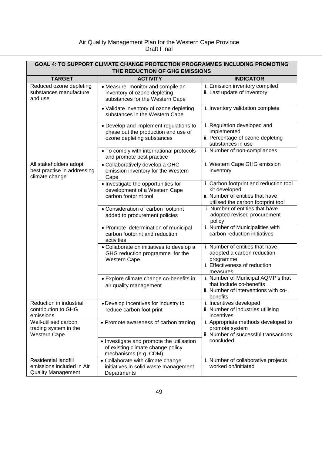| Air Quality Management Plan for the Western Cape Province |  |
|-----------------------------------------------------------|--|
| <b>Draft Final</b>                                        |  |

| <b>GOAL 4: TO SUPPORT CLIMATE CHANGE PROTECTION PROGRAMMES INCLUDING PROMOTING</b><br>THE REDUCTION OF GHG EMISSIONS |                                                                                                             |                                                                                                                                   |  |  |  |
|----------------------------------------------------------------------------------------------------------------------|-------------------------------------------------------------------------------------------------------------|-----------------------------------------------------------------------------------------------------------------------------------|--|--|--|
| <b>TARGET</b>                                                                                                        | <b>ACTIVITY</b>                                                                                             | <b>INDICATOR</b>                                                                                                                  |  |  |  |
| Reduced ozone depleting<br>substances manufacture<br>and use                                                         | • Measure, monitor and compile an<br>inventory of ozone depleting<br>substances for the Western Cape        | i. Emission inventory compiled<br>ii. Last update of inventory                                                                    |  |  |  |
|                                                                                                                      | • Validate inventory of ozone depleting<br>substances in the Western Cape                                   | i. Inventory validation complete                                                                                                  |  |  |  |
|                                                                                                                      | • Develop and implement regulations to<br>phase out the production and use of<br>ozone depleting substances | i. Regulation developed and<br>implemented<br>ii. Percentage of ozone depleting<br>substances in use                              |  |  |  |
|                                                                                                                      | . To comply with international protocols<br>and promote best practice                                       | i. Number of non-compliances                                                                                                      |  |  |  |
| All stakeholders adopt<br>best practise in addressing<br>climate change                                              | · Collaboratively develop a GHG<br>emission inventory for the Western<br>Cape                               | i. Western Cape GHG emission<br>inventory                                                                                         |  |  |  |
|                                                                                                                      | • Investigate the opportunities for<br>development of a Western Cape<br>carbon footprint tool               | i. Carbon footprint and reduction tool<br>kit developed<br>ii. Number of entities that have<br>utilised the carbon footprint tool |  |  |  |
|                                                                                                                      | • Consideration of carbon footprint<br>added to procurement policies                                        | i. Number of entities that have<br>adopted revised procurement<br>policy                                                          |  |  |  |
|                                                                                                                      | · Promote determination of municipal<br>carbon footprint and reduction<br>activities                        | i. Number of Municipalities with<br>carbon reduction initiatives                                                                  |  |  |  |
|                                                                                                                      | • Collaborate on initiatives to develop a<br>GHG reduction programme for the<br><b>Western Cape</b>         | i. Number of entities that have<br>adopted a carbon reduction<br>programme<br>i. Effectiveness of reduction<br>measures           |  |  |  |
|                                                                                                                      | • Explore climate change co-benefits in<br>air quality management                                           | i. Number of Municipal AQMP's that<br>that include co-benefits<br>ii. Number of interventions with co-<br>benefits                |  |  |  |
| Reduction in industrial<br>contribution to GHG<br>emissions                                                          | • Develop incentives for industry to<br>reduce carbon foot print                                            | <i>i.</i> Incentives developed<br>ii. Number of industries utilising<br>incentives                                                |  |  |  |
| Well-utilised carbon<br>trading system in the<br><b>Western Cape</b>                                                 | • Promote awareness of carbon trading                                                                       | i. Appropriate methods developed to<br>promote system<br>ii. Number of successful transactions                                    |  |  |  |
|                                                                                                                      | • Investigate and promote the utilisation<br>of existing climate change policy<br>mechanisms (e.g. CDM)     | concluded                                                                                                                         |  |  |  |
| <b>Residential landfill</b><br>emissions included in Air<br><b>Quality Management</b>                                | • Collaborate with climate change<br>initiatives in solid waste management<br>Departments                   | i. Number of collaborative projects<br>worked on/initiated                                                                        |  |  |  |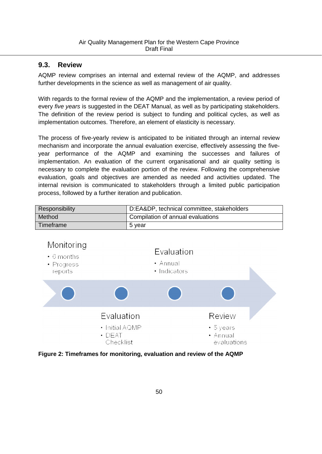### **9.3. Review**

AQMP review comprises an internal and external review of the AQMP, and addresses further developments in the science as well as management of air quality.

With regards to the formal review of the AQMP and the implementation, a review period of every *five years* is suggested in the DEAT Manual, as well as by participating stakeholders. The definition of the review period is subject to funding and political cycles, as well as implementation outcomes. Therefore, an element of elasticity is necessary.

The process of five-yearly review is anticipated to be initiated through an internal review mechanism and incorporate the annual evaluation exercise, effectively assessing the fiveyear performance of the AQMP and examining the successes and failures of implementation. An evaluation of the current organisational and air quality setting is necessary to complete the evaluation portion of the review. Following the comprehensive evaluation, goals and objectives are amended as needed and activities updated. The internal revision is communicated to stakeholders through a limited public participation process, followed by a further iteration and publication.



**Figure 2: Timeframes for monitoring, evaluation and review of the AQMP**

Checklist

evaluations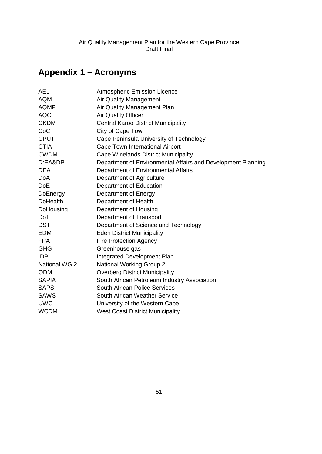# **Appendix 1 – Acronyms**

| <b>Atmospheric Emission Licence</b>                          |
|--------------------------------------------------------------|
| <b>Air Quality Management</b>                                |
| Air Quality Management Plan                                  |
| <b>Air Quality Officer</b>                                   |
| <b>Central Karoo District Municipality</b>                   |
| City of Cape Town                                            |
| Cape Peninsula University of Technology                      |
| Cape Town International Airport                              |
| Cape Winelands District Municipality                         |
| Department of Environmental Affairs and Development Planning |
| Department of Environmental Affairs                          |
| Department of Agriculture                                    |
| Department of Education                                      |
| Department of Energy                                         |
| Department of Health                                         |
| Department of Housing                                        |
| Department of Transport                                      |
| Department of Science and Technology                         |
| <b>Eden District Municipality</b>                            |
| <b>Fire Protection Agency</b>                                |
| Greenhouse gas                                               |
| Integrated Development Plan                                  |
| <b>National Working Group 2</b>                              |
| <b>Overberg District Municipality</b>                        |
| South African Petroleum Industry Association                 |
| South African Police Services                                |
| South African Weather Service                                |
| University of the Western Cape                               |
| <b>West Coast District Municipality</b>                      |
|                                                              |